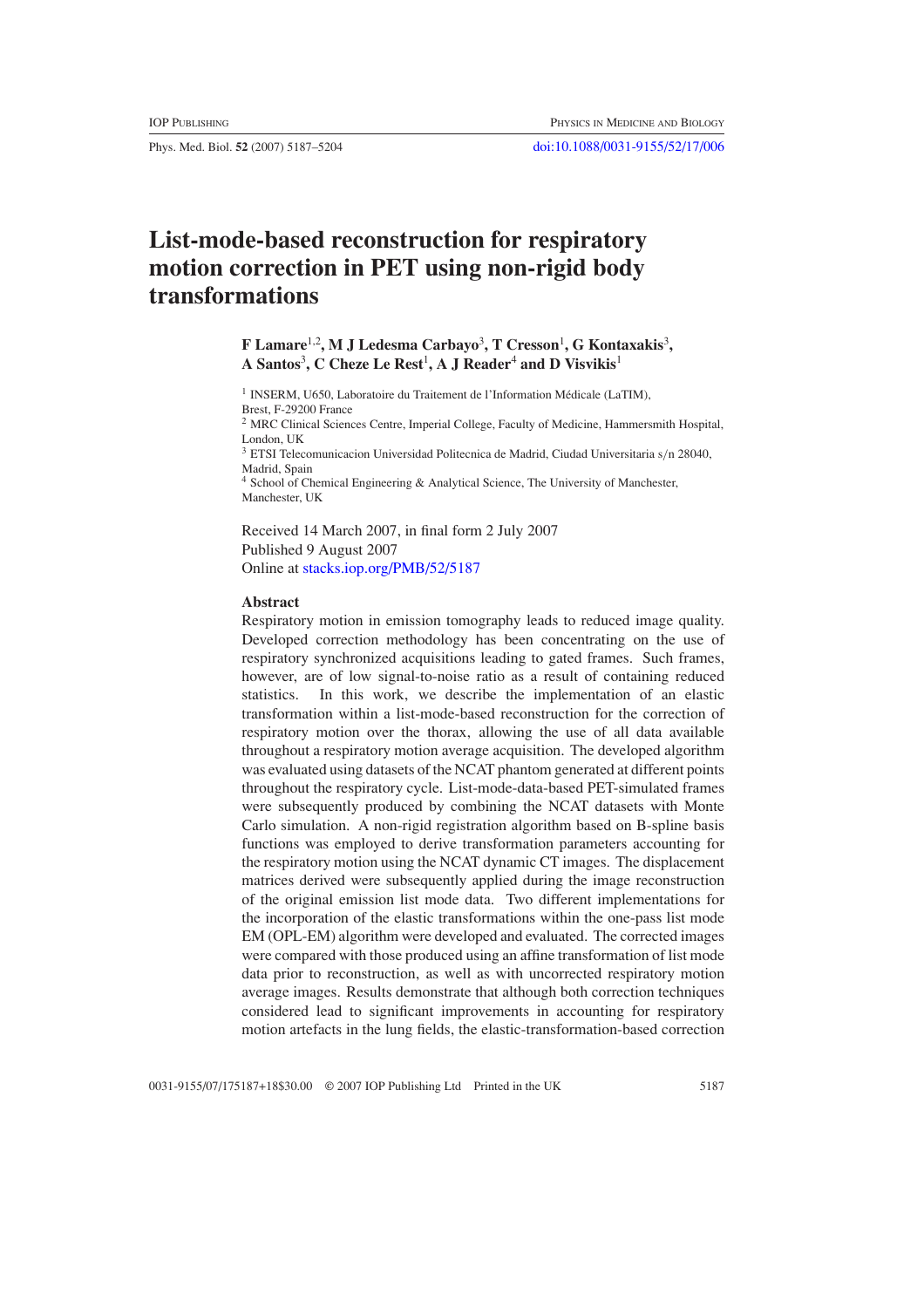Phys. Med. Biol. **52** (2007) 5187–5204 [doi:10.1088/0031-9155/52/17/006](http://dx.doi.org/10.1088/0031-9155/52/17/006)

# **List-mode-based reconstruction for respiratory motion correction in PET using non-rigid body transformations**

**F** Lamare<sup>1,2</sup>, M J Ledesma Carbayo<sup>3</sup>, T Cresson<sup>1</sup>, G Kontaxakis<sup>3</sup>, **A Santos**<sup>3</sup> **, C Cheze Le Rest**<sup>1</sup> **, A J Reader**<sup>4</sup> **and D Visvikis**<sup>1</sup>

<sup>1</sup> INSERM, U650, Laboratoire du Traitement de l'Information Médicale (LaTIM), Brest, F-29200 France

<sup>2</sup> MRC Clinical Sciences Centre, Imperial College, Faculty of Medicine, Hammersmith Hospital, London, UK

<sup>3</sup> ETSI Telecomunicacion Universidad Politecnica de Madrid, Ciudad Universitaria s*/*n 28040, Madrid, Spain

<sup>4</sup> School of Chemical Engineering & Analytical Science, The University of Manchester, Manchester, UK

Received 14 March 2007, in final form 2 July 2007 Published 9 August 2007 Online at [stacks.iop.org/PMB/52/5187](http://stacks.iop.org/PMB/52/5187)

## **Abstract**

Respiratory motion in emission tomography leads to reduced image quality. Developed correction methodology has been concentrating on the use of respiratory synchronized acquisitions leading to gated frames. Such frames, however, are of low signal-to-noise ratio as a result of containing reduced statistics. In this work, we describe the implementation of an elastic transformation within a list-mode-based reconstruction for the correction of respiratory motion over the thorax, allowing the use of all data available throughout a respiratory motion average acquisition. The developed algorithm was evaluated using datasets of the NCAT phantom generated at different points throughout the respiratory cycle. List-mode-data-based PET-simulated frames were subsequently produced by combining the NCAT datasets with Monte Carlo simulation. A non-rigid registration algorithm based on B-spline basis functions was employed to derive transformation parameters accounting for the respiratory motion using the NCAT dynamic CT images. The displacement matrices derived were subsequently applied during the image reconstruction of the original emission list mode data. Two different implementations for the incorporation of the elastic transformations within the one-pass list mode EM (OPL-EM) algorithm were developed and evaluated. The corrected images were compared with those produced using an affine transformation of list mode data prior to reconstruction, as well as with uncorrected respiratory motion average images. Results demonstrate that although both correction techniques considered lead to significant improvements in accounting for respiratory motion artefacts in the lung fields, the elastic-transformation-based correction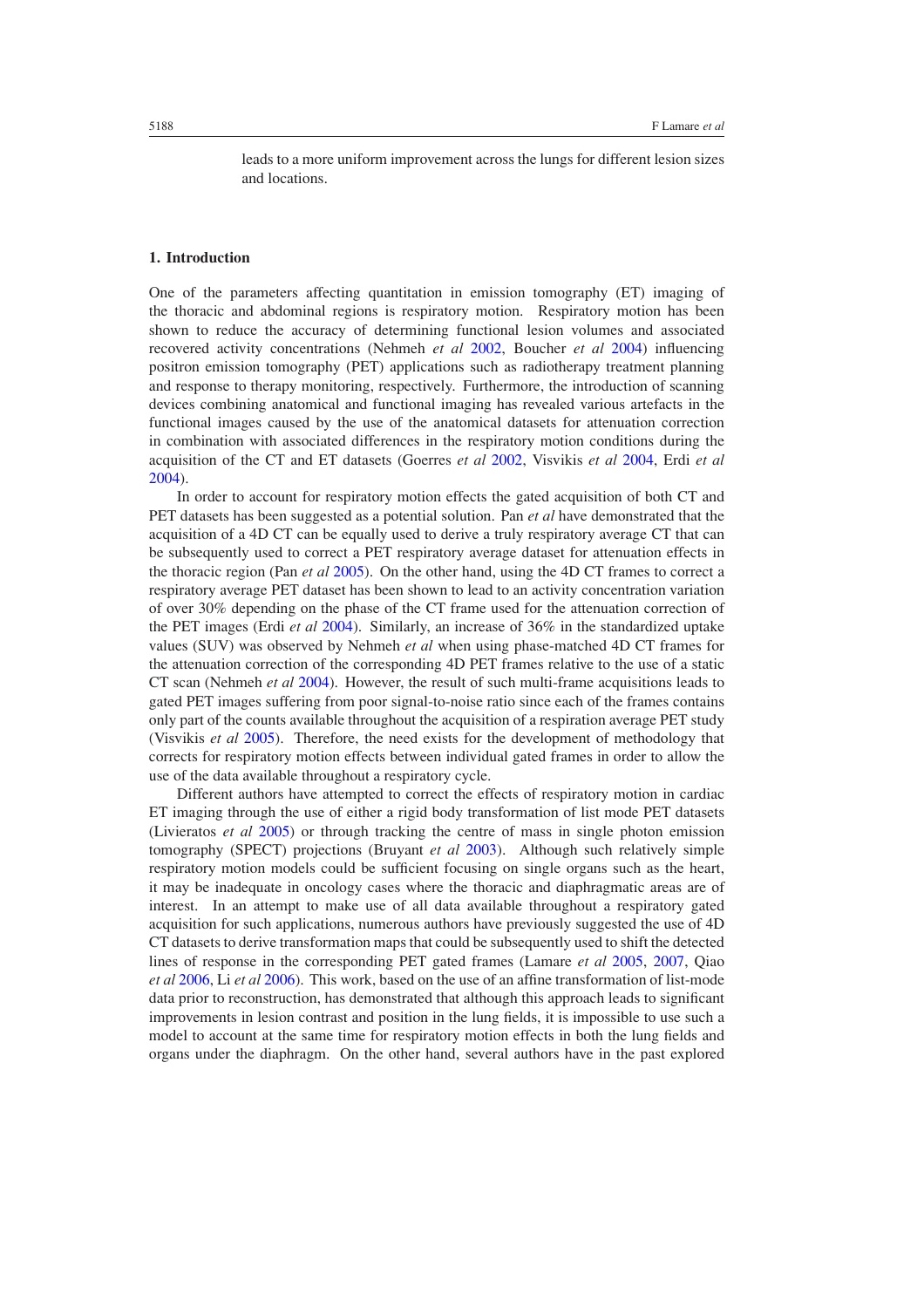leads to a more uniform improvement across the lungs for different lesion sizes and locations.

## **1. Introduction**

One of the parameters affecting quantitation in emission tomography (ET) imaging of the thoracic and abdominal regions is respiratory motion. Respiratory motion has been shown to reduce the accuracy of determining functional lesion volumes and associated recovered activity concentrations (Nehmeh *et al* [2002](#page-16-0), Boucher *et al* [2004\)](#page-16-0) influencing positron emission tomography (PET) applications such as radiotherapy treatment planning and response to therapy monitoring, respectively. Furthermore, the introduction of scanning devices combining anatomical and functional imaging has revealed various artefacts in the functional images caused by the use of the anatomical datasets for attenuation correction in combination with associated differences in the respiratory motion conditions during the acquisition of the CT and ET datasets (Goerres *et al* [2002](#page-16-0), Visvikis *et al* [2004,](#page-17-0) Erdi *et al* [2004\)](#page-16-0).

In order to account for respiratory motion effects the gated acquisition of both CT and PET datasets has been suggested as a potential solution. Pan *et al* have demonstrated that the acquisition of a 4D CT can be equally used to derive a truly respiratory average CT that can be subsequently used to correct a PET respiratory average dataset for attenuation effects in the thoracic region (Pan *et al* [2005\)](#page-17-0). On the other hand, using the 4D CT frames to correct a respiratory average PET dataset has been shown to lead to an activity concentration variation of over 30% depending on the phase of the CT frame used for the attenuation correction of the PET images (Erdi *et al* [2004](#page-16-0)). Similarly, an increase of 36% in the standardized uptake values (SUV) was observed by Nehmeh *et al* when using phase-matched 4D CT frames for the attenuation correction of the corresponding 4D PET frames relative to the use of a static CT scan (Nehmeh *et al* [2004](#page-16-0)). However, the result of such multi-frame acquisitions leads to gated PET images suffering from poor signal-to-noise ratio since each of the frames contains only part of the counts available throughout the acquisition of a respiration average PET study (Visvikis *et al* [2005](#page-17-0)). Therefore, the need exists for the development of methodology that corrects for respiratory motion effects between individual gated frames in order to allow the use of the data available throughout a respiratory cycle.

Different authors have attempted to correct the effects of respiratory motion in cardiac ET imaging through the use of either a rigid body transformation of list mode PET datasets (Livieratos *et al* [2005\)](#page-16-0) or through tracking the centre of mass in single photon emission tomography (SPECT) projections (Bruyant *et al* [2003](#page-16-0)). Although such relatively simple respiratory motion models could be sufficient focusing on single organs such as the heart, it may be inadequate in oncology cases where the thoracic and diaphragmatic areas are of interest. In an attempt to make use of all data available throughout a respiratory gated acquisition for such applications, numerous authors have previously suggested the use of 4D CT datasets to derive transformation maps that could be subsequently used to shift the detected lines of response in the corresponding PET gated frames (Lamare *et al* [2005](#page-16-0), [2007,](#page-16-0) Qiao *et al* [2006](#page-17-0), Li *et al* [2006](#page-16-0)). This work, based on the use of an affine transformation of list-mode data prior to reconstruction, has demonstrated that although this approach leads to significant improvements in lesion contrast and position in the lung fields, it is impossible to use such a model to account at the same time for respiratory motion effects in both the lung fields and organs under the diaphragm. On the other hand, several authors have in the past explored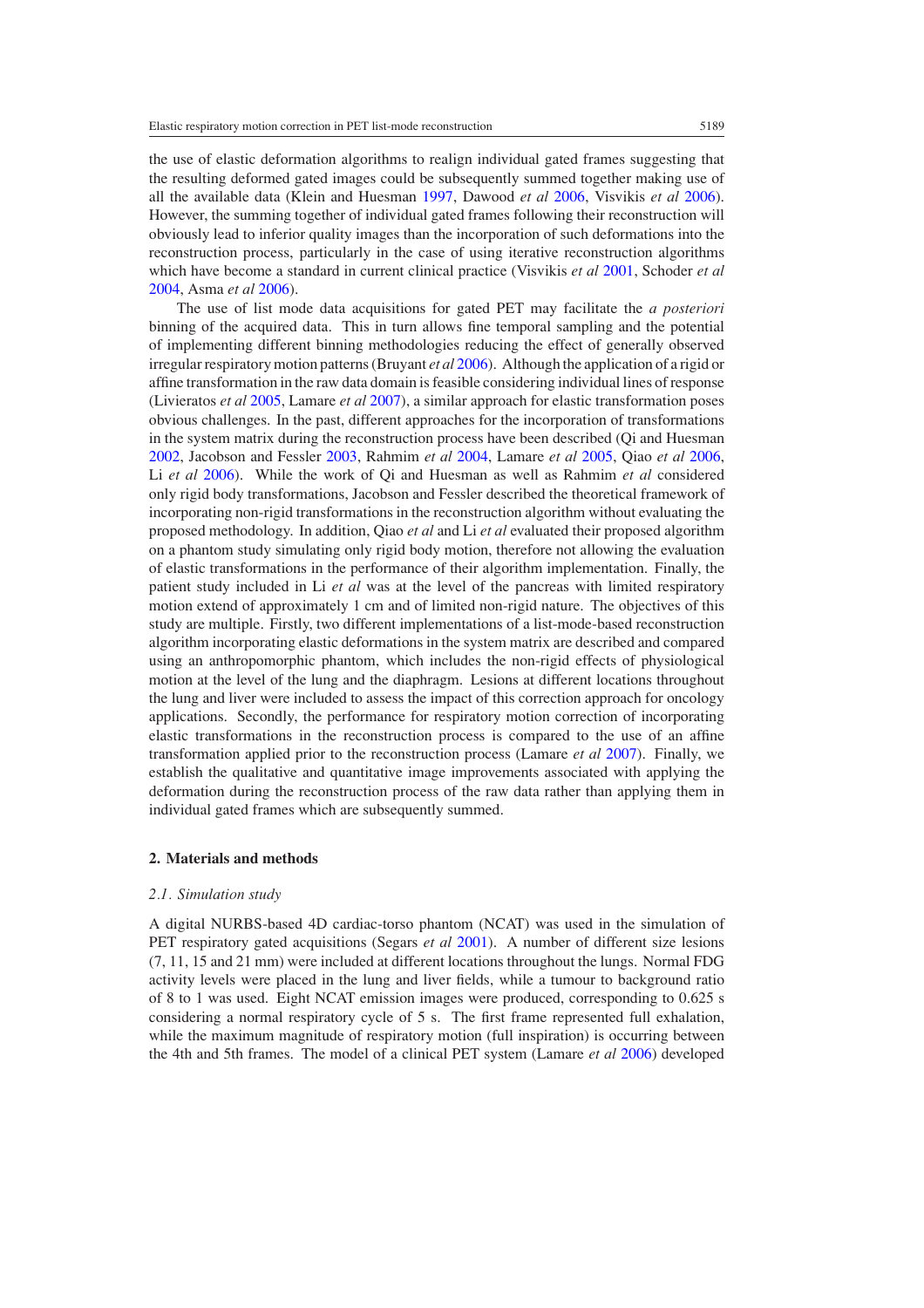<span id="page-2-0"></span>the use of elastic deformation algorithms to realign individual gated frames suggesting that the resulting deformed gated images could be subsequently summed together making use of all the available data (Klein and Huesman [1997,](#page-16-0) Dawood *et al* [2006,](#page-16-0) Visvikis *et al* [2006\)](#page-17-0). However, the summing together of individual gated frames following their reconstruction will obviously lead to inferior quality images than the incorporation of such deformations into the reconstruction process, particularly in the case of using iterative reconstruction algorithms which have become a standard in current clinical practice (Visvikis *et al* [2001](#page-17-0), Schoder *et al* [2004,](#page-17-0) Asma *et al* [2006](#page-16-0)).

The use of list mode data acquisitions for gated PET may facilitate the *a posteriori* binning of the acquired data. This in turn allows fine temporal sampling and the potential of implementing different binning methodologies reducing the effect of generally observed irregular respiratory motion patterns (Bruyant *et al* [2006](#page-16-0)). Although the application of a rigid or affine transformation in the raw data domain is feasible considering individual lines of response (Livieratos *et al* [2005](#page-16-0), Lamare *et al* [2007](#page-16-0)), a similar approach for elastic transformation poses obvious challenges. In the past, different approaches for the incorporation of transformations in the system matrix during the reconstruction process have been described (Qi and Huesman [2002,](#page-17-0) Jacobson and Fessler [2003](#page-16-0), Rahmim *et al* [2004](#page-17-0), Lamare *et al* [2005,](#page-16-0) Qiao *et al* [2006](#page-17-0), Li *et al* [2006\)](#page-16-0). While the work of Qi and Huesman as well as Rahmim *et al* considered only rigid body transformations, Jacobson and Fessler described the theoretical framework of incorporating non-rigid transformations in the reconstruction algorithm without evaluating the proposed methodology. In addition, Qiao *et al* and Li *et al* evaluated their proposed algorithm on a phantom study simulating only rigid body motion, therefore not allowing the evaluation of elastic transformations in the performance of their algorithm implementation. Finally, the patient study included in Li *et al* was at the level of the pancreas with limited respiratory motion extend of approximately 1 cm and of limited non-rigid nature. The objectives of this study are multiple. Firstly, two different implementations of a list-mode-based reconstruction algorithm incorporating elastic deformations in the system matrix are described and compared using an anthropomorphic phantom, which includes the non-rigid effects of physiological motion at the level of the lung and the diaphragm. Lesions at different locations throughout the lung and liver were included to assess the impact of this correction approach for oncology applications. Secondly, the performance for respiratory motion correction of incorporating elastic transformations in the reconstruction process is compared to the use of an affine transformation applied prior to the reconstruction process (Lamare *et al* [2007](#page-16-0)). Finally, we establish the qualitative and quantitative image improvements associated with applying the deformation during the reconstruction process of the raw data rather than applying them in individual gated frames which are subsequently summed.

## **2. Materials and methods**

#### *2.1. Simulation study*

A digital NURBS-based 4D cardiac-torso phantom (NCAT) was used in the simulation of PET respiratory gated acquisitions (Segars *et al* [2001](#page-17-0)). A number of different size lesions (7, 11, 15 and 21 mm) were included at different locations throughout the lungs. Normal FDG activity levels were placed in the lung and liver fields, while a tumour to background ratio of 8 to 1 was used. Eight NCAT emission images were produced, corresponding to 0.625 s considering a normal respiratory cycle of 5 s. The first frame represented full exhalation, while the maximum magnitude of respiratory motion (full inspiration) is occurring between the 4th and 5th frames. The model of a clinical PET system (Lamare *et al* [2006\)](#page-16-0) developed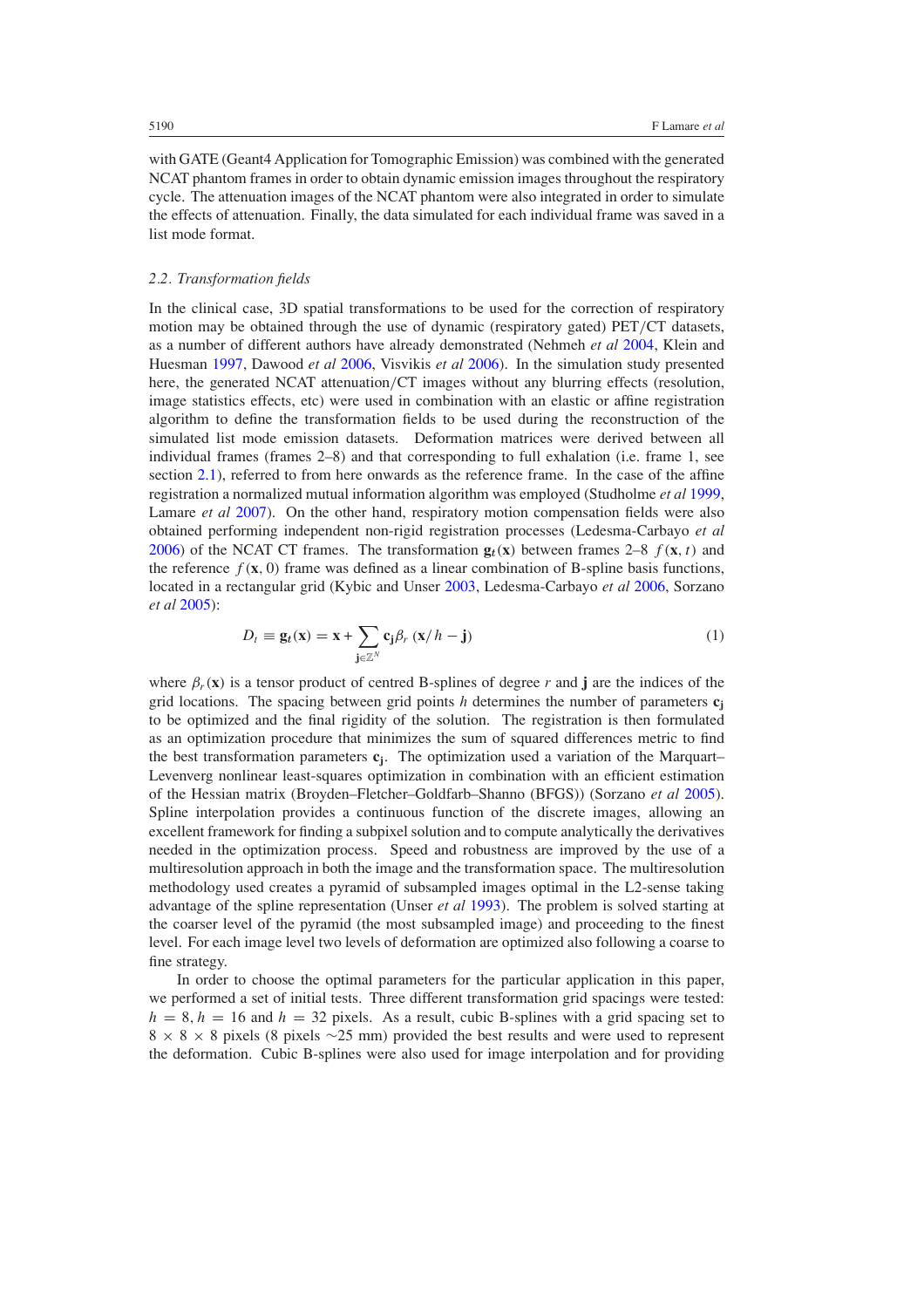<span id="page-3-0"></span>with GATE (Geant4 Application for Tomographic Emission) was combined with the generated NCAT phantom frames in order to obtain dynamic emission images throughout the respiratory cycle. The attenuation images of the NCAT phantom were also integrated in order to simulate the effects of attenuation. Finally, the data simulated for each individual frame was saved in a list mode format.

## *2.2. Transformation fields*

In the clinical case, 3D spatial transformations to be used for the correction of respiratory motion may be obtained through the use of dynamic (respiratory gated) PET*/*CT datasets, as a number of different authors have already demonstrated (Nehmeh *et al* [2004](#page-16-0), Klein and Huesman [1997](#page-16-0), Dawood *et al* [2006](#page-16-0), Visvikis *et al* [2006](#page-17-0)). In the simulation study presented here, the generated NCAT attenuation*/*CT images without any blurring effects (resolution, image statistics effects, etc) were used in combination with an elastic or affine registration algorithm to define the transformation fields to be used during the reconstruction of the simulated list mode emission datasets. Deformation matrices were derived between all individual frames (frames 2–8) and that corresponding to full exhalation (i.e. frame 1, see section [2.1\)](#page-2-0), referred to from here onwards as the reference frame. In the case of the affine registration a normalized mutual information algorithm was employed (Studholme *et al* [1999](#page-17-0), Lamare *et al* [2007\)](#page-16-0). On the other hand, respiratory motion compensation fields were also obtained performing independent non-rigid registration processes (Ledesma-Carbayo *et al* [2006\)](#page-16-0) of the NCAT CT frames. The transformation  $\mathbf{g}_t(\mathbf{x})$  between frames 2–8  $f(\mathbf{x}, t)$  and the reference  $f(\mathbf{x}, 0)$  frame was defined as a linear combination of B-spline basis functions, located in a rectangular grid (Kybic and Unser [2003](#page-16-0), Ledesma-Carbayo *et al* [2006](#page-16-0), Sorzano *et al* [2005\)](#page-17-0):

$$
D_t \equiv \mathbf{g}_t(\mathbf{x}) = \mathbf{x} + \sum_{\mathbf{j} \in \mathbb{Z}^N} \mathbf{c}_{\mathbf{j}} \beta_r (\mathbf{x}/h - \mathbf{j})
$$
 (1)

where  $\beta_r(\mathbf{x})$  is a tensor product of centred B-splines of degree r and **j** are the indices of the grid locations. The spacing between grid points *h* determines the number of parameters  $c_i$ to be optimized and the final rigidity of the solution. The registration is then formulated as an optimization procedure that minimizes the sum of squared differences metric to find the best transformation parameters **cj**. The optimization used a variation of the Marquart– Levenverg nonlinear least-squares optimization in combination with an efficient estimation of the Hessian matrix (Broyden–Fletcher–Goldfarb–Shanno (BFGS)) (Sorzano *et al* [2005\)](#page-17-0). Spline interpolation provides a continuous function of the discrete images, allowing an excellent framework for finding a subpixel solution and to compute analytically the derivatives needed in the optimization process. Speed and robustness are improved by the use of a multiresolution approach in both the image and the transformation space. The multiresolution methodology used creates a pyramid of subsampled images optimal in the L2-sense taking advantage of the spline representation (Unser *et al* [1993\)](#page-17-0). The problem is solved starting at the coarser level of the pyramid (the most subsampled image) and proceeding to the finest level. For each image level two levels of deformation are optimized also following a coarse to fine strategy.

In order to choose the optimal parameters for the particular application in this paper, we performed a set of initial tests. Three different transformation grid spacings were tested:  $h = 8, h = 16$  and  $h = 32$  pixels. As a result, cubic B-splines with a grid spacing set to  $8 \times 8 \times 8$  pixels (8 pixels ∼25 mm) provided the best results and were used to represent the deformation. Cubic B-splines were also used for image interpolation and for providing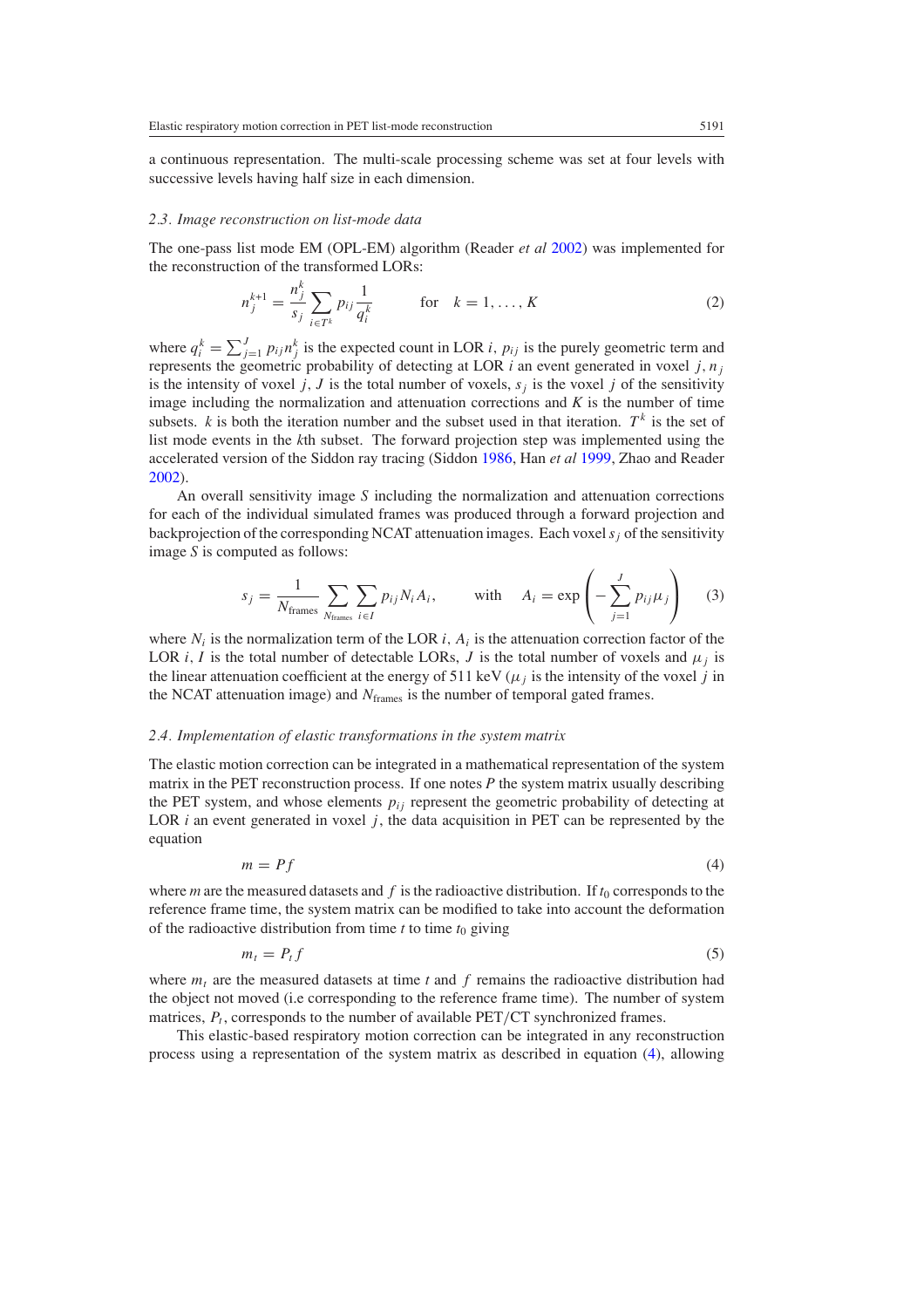<span id="page-4-0"></span>a continuous representation. The multi-scale processing scheme was set at four levels with successive levels having half size in each dimension.

#### *2.3. Image reconstruction on list-mode data*

The one-pass list mode EM (OPL-EM) algorithm (Reader *et al* [2002](#page-17-0)) was implemented for the reconstruction of the transformed LORs:

$$
n_j^{k+1} = \frac{n_j^k}{s_j} \sum_{i \in T^k} p_{ij} \frac{1}{q_i^k} \qquad \text{for} \quad k = 1, ..., K
$$
 (2)

where  $q_i^k = \sum_{j=1}^J p_{ij} n_j^k$  is the expected count in LOR *i*,  $p_{ij}$  is the purely geometric term and represents the geometric probability of detecting at LOR  $i$  an event generated in voxel  $j, n<sub>i</sub>$ is the intensity of voxel *j*, *J* is the total number of voxels,  $s_i$  is the voxel *j* of the sensitivity image including the normalization and attenuation corrections and  $K$  is the number of time subsets. *k* is both the iteration number and the subset used in that iteration.  $T<sup>k</sup>$  is the set of list mode events in the *k*th subset. The forward projection step was implemented using the accelerated version of the Siddon ray tracing (Siddon [1986,](#page-17-0) Han *et al* [1999,](#page-16-0) Zhao and Reader [2002\)](#page-17-0).

An overall sensitivity image *S* including the normalization and attenuation corrections for each of the individual simulated frames was produced through a forward projection and backprojection of the corresponding NCAT attenuation images. Each voxel*sj* of the sensitivity image *S* is computed as follows:

$$
s_j = \frac{1}{N_{\text{frames}}} \sum_{N_{\text{frames}}} \sum_{i \in I} p_{ij} N_i A_i, \quad \text{with} \quad A_i = \exp\left(-\sum_{j=1}^J p_{ij} \mu_j\right) \quad (3)
$$

where  $N_i$  is the normalization term of the LOR *i*,  $A_i$  is the attenuation correction factor of the LOR *i*, *I* is the total number of detectable LORs, *J* is the total number of voxels and  $\mu_i$  is the linear attenuation coefficient at the energy of 511 keV  $(\mu_j)$  is the intensity of the voxel *j* in the NCAT attenuation image) and  $N<sub>frames</sub>$  is the number of temporal gated frames.

#### *2.4. Implementation of elastic transformations in the system matrix*

The elastic motion correction can be integrated in a mathematical representation of the system matrix in the PET reconstruction process. If one notes *P* the system matrix usually describing the PET system, and whose elements  $p_{ij}$  represent the geometric probability of detecting at LOR  $i$  an event generated in voxel  $j$ , the data acquisition in PET can be represented by the equation

$$
m = Pf \tag{4}
$$

where *m* are the measured datasets and  $f$  is the radioactive distribution. If  $t_0$  corresponds to the reference frame time, the system matrix can be modified to take into account the deformation of the radioactive distribution from time  $t$  to time  $t_0$  giving

$$
m_t = P_t f \tag{5}
$$

where  $m_t$  are the measured datasets at time  $t$  and  $f$  remains the radioactive distribution had the object not moved (i.e corresponding to the reference frame time). The number of system matrices,  $P_t$ , corresponds to the number of available PET/CT synchronized frames.

This elastic-based respiratory motion correction can be integrated in any reconstruction process using a representation of the system matrix as described in equation (4), allowing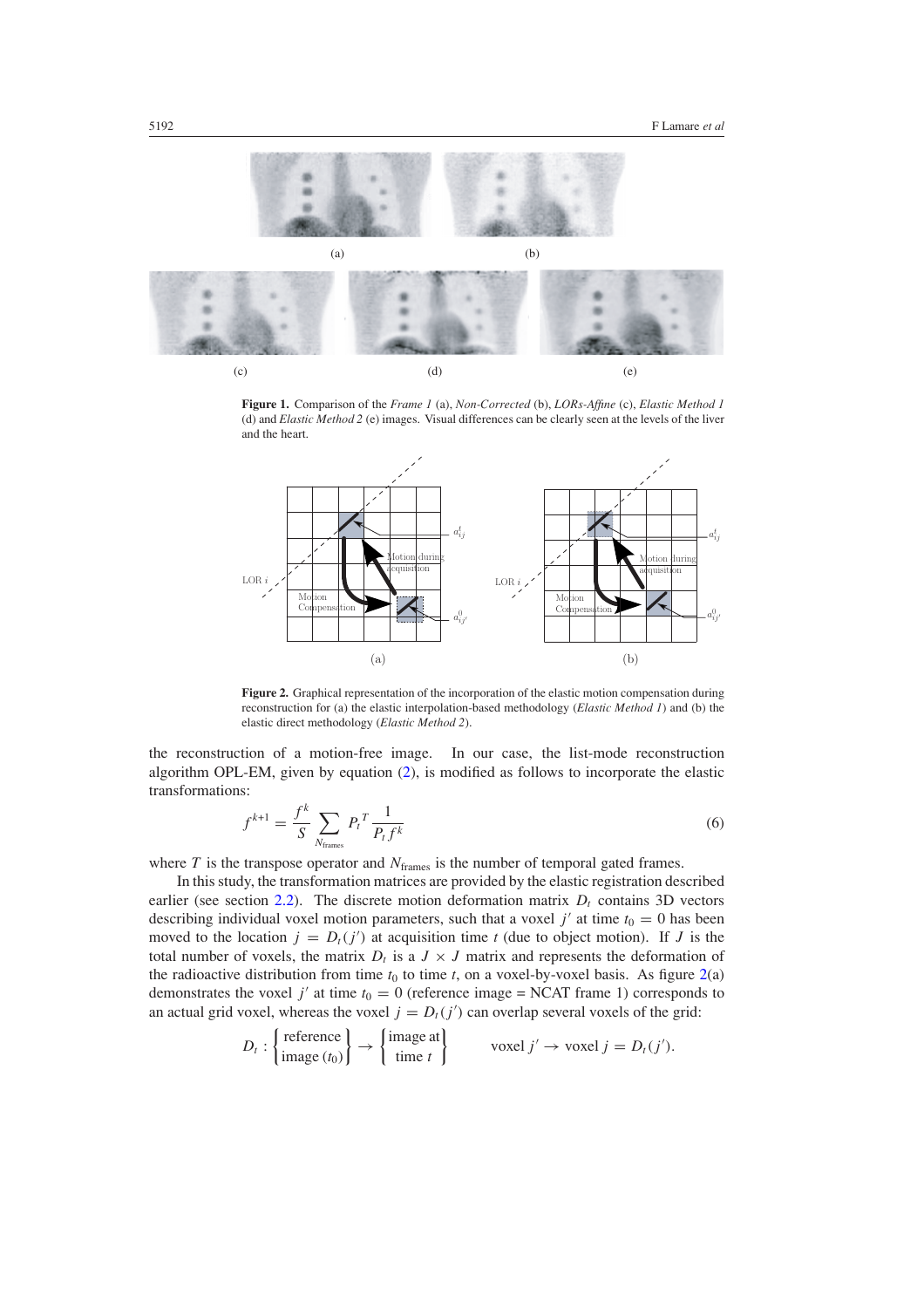<span id="page-5-0"></span>

**Figure 1.** Comparison of the *Frame 1* (a), *Non-Corrected* (b), *LORs-Affine* (c), *Elastic Method 1* (d) and *Elastic Method 2* (e) images. Visual differences can be clearly seen at the levels of the liver and the heart.



**Figure 2.** Graphical representation of the incorporation of the elastic motion compensation during reconstruction for (a) the elastic interpolation-based methodology (*Elastic Method 1*) and (b) the elastic direct methodology (*Elastic Method 2*).

the reconstruction of a motion-free image. In our case, the list-mode reconstruction algorithm OPL-EM, given by equation [\(2\)](#page-4-0), is modified as follows to incorporate the elastic transformations:

$$
f^{k+1} = \frac{f^k}{S} \sum_{N_{\text{frames}}} P_t^T \frac{1}{P_t f^k} \tag{6}
$$

where  $T$  is the transpose operator and  $N_{\text{frames}}$  is the number of temporal gated frames.

In this study, the transformation matrices are provided by the elastic registration described earlier (see section  $2.2$ ). The discrete motion deformation matrix  $D_t$  contains 3D vectors describing individual voxel motion parameters, such that a voxel  $j'$  at time  $t_0 = 0$  has been moved to the location  $j = D_t(j')$  at acquisition time *t* (due to object motion). If *J* is the total number of voxels, the matrix  $D_t$  is a  $J \times J$  matrix and represents the deformation of the radioactive distribution from time  $t_0$  to time  $t$ , on a voxel-by-voxel basis. As figure  $2(a)$ demonstrates the voxel *j'* at time  $t_0 = 0$  (reference image = NCAT frame 1) corresponds to an actual grid voxel, whereas the voxel  $j = D_t(j')$  can overlap several voxels of the grid:

$$
D_t: \left\{\begin{matrix} \text{reference} \\ \text{image}(t_0) \end{matrix}\right\} \to \left\{\begin{matrix} \text{image at} \\ \text{time } t \end{matrix}\right\} \qquad \text{voxel } j' \to \text{voxel } j = D_t(j').
$$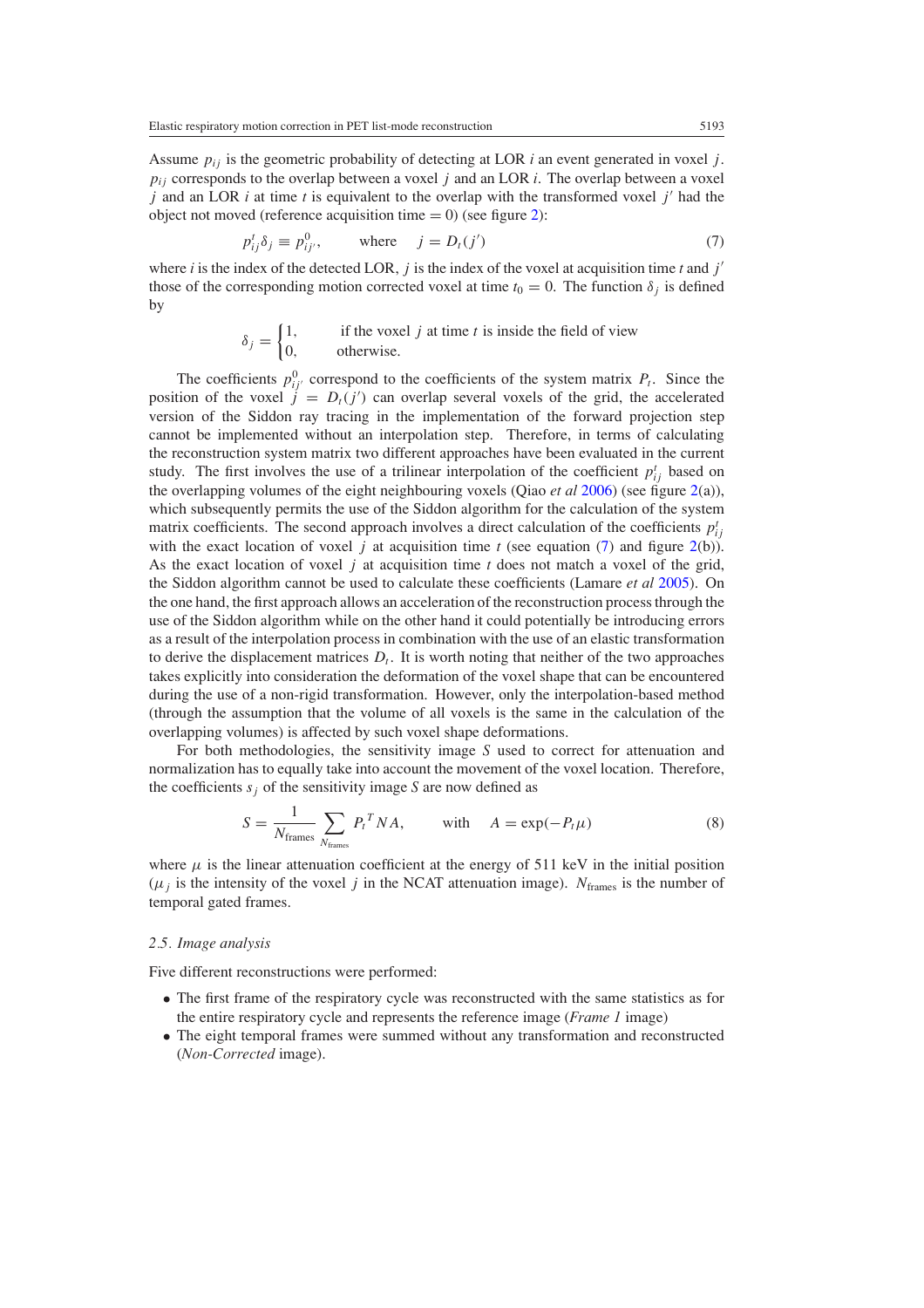<span id="page-6-0"></span>Assume *pij* is the geometric probability of detecting at LOR *i* an event generated in voxel *j* .  $p_{ij}$  corresponds to the overlap between a voxel *j* and an LOR *i*. The overlap between a voxel *j* and an LOR *i* at time *t* is equivalent to the overlap with the transformed voxel *j* had the object not moved (reference acquisition time  $= 0$ ) (see figure [2\)](#page-5-0):

$$
p_{ij}^t \delta_j \equiv p_{ij'}^0, \qquad \text{where} \quad j = D_t(j') \tag{7}
$$

where *i* is the index of the detected LOR, *j* is the index of the voxel at acquisition time *t* and  $j'$ those of the corresponding motion corrected voxel at time  $t_0 = 0$ . The function  $\delta_i$  is defined by

$$
\delta_j = \begin{cases} 1, & \text{if the voxel } j \text{ at time } t \text{ is inside the field of view} \\ 0, & \text{otherwise.} \end{cases}
$$

The coefficients  $p_{ij}^0$  correspond to the coefficients of the system matrix  $P_t$ . Since the position of the voxel  $j = D_t(j')$  can overlap several voxels of the grid, the accelerated version of the Siddon ray tracing in the implementation of the forward projection step cannot be implemented without an interpolation step. Therefore, in terms of calculating the reconstruction system matrix two different approaches have been evaluated in the current study. The first involves the use of a trilinear interpolation of the coefficient  $p_{ij}^t$  based on the overlapping volumes of the eight neighbouring voxels (Qiao *et al* [2006](#page-17-0)) (see figure [2\(](#page-5-0)a)), which subsequently permits the use of the Siddon algorithm for the calculation of the system matrix coefficients. The second approach involves a direct calculation of the coefficients  $p_{ij}^t$ with the exact location of voxel *j* at acquisition time *t* (see equation (7) and figure [2\(](#page-5-0)b)). As the exact location of voxel *j* at acquisition time *t* does not match a voxel of the grid, the Siddon algorithm cannot be used to calculate these coefficients (Lamare *et al* [2005\)](#page-16-0). On the one hand, the first approach allows an acceleration of the reconstruction process through the use of the Siddon algorithm while on the other hand it could potentially be introducing errors as a result of the interpolation process in combination with the use of an elastic transformation to derive the displacement matrices  $D_t$ . It is worth noting that neither of the two approaches takes explicitly into consideration the deformation of the voxel shape that can be encountered during the use of a non-rigid transformation. However, only the interpolation-based method (through the assumption that the volume of all voxels is the same in the calculation of the overlapping volumes) is affected by such voxel shape deformations.

For both methodologies, the sensitivity image *S* used to correct for attenuation and normalization has to equally take into account the movement of the voxel location. Therefore, the coefficients  $s_i$  of the sensitivity image *S* are now defined as

$$
S = \frac{1}{N_{\text{frames}}} \sum_{N_{\text{frames}}} P_t^T N A, \quad \text{with} \quad A = \exp(-P_t \mu) \tag{8}
$$

where  $\mu$  is the linear attenuation coefficient at the energy of 511 keV in the initial position  $(\mu_j)$  is the intensity of the voxel *j* in the NCAT attenuation image).  $N_{\text{frames}}$  is the number of temporal gated frames.

## *2.5. Image analysis*

Five different reconstructions were performed:

- The first frame of the respiratory cycle was reconstructed with the same statistics as for the entire respiratory cycle and represents the reference image (*Frame 1* image)
- The eight temporal frames were summed without any transformation and reconstructed (*Non-Corrected* image).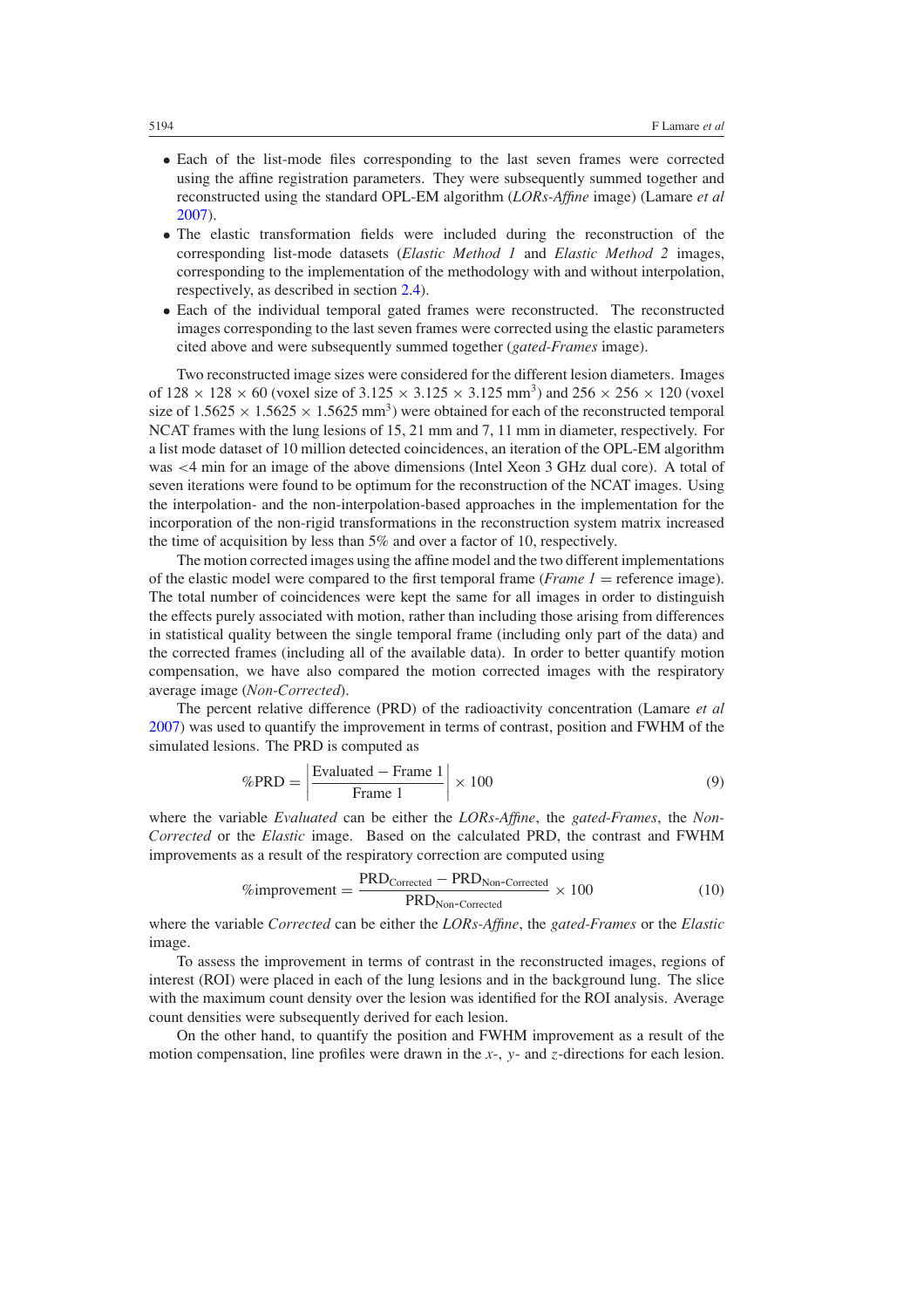- <span id="page-7-0"></span>• Each of the list-mode files corresponding to the last seven frames were corrected using the affine registration parameters. They were subsequently summed together and reconstructed using the standard OPL-EM algorithm (*LORs-Affine* image) (Lamare *et al* [2007\)](#page-16-0).
- The elastic transformation fields were included during the reconstruction of the corresponding list-mode datasets (*Elastic Method 1* and *Elastic Method 2* images, corresponding to the implementation of the methodology with and without interpolation, respectively, as described in section [2.4\)](#page-4-0).
- Each of the individual temporal gated frames were reconstructed. The reconstructed images corresponding to the last seven frames were corrected using the elastic parameters cited above and were subsequently summed together (*gated-Frames* image).

Two reconstructed image sizes were considered for the different lesion diameters. Images of  $128 \times 128 \times 60$  (voxel size of  $3.125 \times 3.125 \times 3.125$  mm<sup>3</sup>) and  $256 \times 256 \times 120$  (voxel size of  $1.5625 \times 1.5625 \times 1.5625$  mm<sup>3</sup>) were obtained for each of the reconstructed temporal NCAT frames with the lung lesions of 15, 21 mm and 7, 11 mm in diameter, respectively. For a list mode dataset of 10 million detected coincidences, an iteration of the OPL-EM algorithm was *<*4 min for an image of the above dimensions (Intel Xeon 3 GHz dual core). A total of seven iterations were found to be optimum for the reconstruction of the NCAT images. Using the interpolation- and the non-interpolation-based approaches in the implementation for the incorporation of the non-rigid transformations in the reconstruction system matrix increased the time of acquisition by less than 5% and over a factor of 10, respectively.

The motion corrected images using the affine model and the two different implementations of the elastic model were compared to the first temporal frame (*Frame 1* = reference image). The total number of coincidences were kept the same for all images in order to distinguish the effects purely associated with motion, rather than including those arising from differences in statistical quality between the single temporal frame (including only part of the data) and the corrected frames (including all of the available data). In order to better quantify motion compensation, we have also compared the motion corrected images with the respiratory average image (*Non-Corrected*).

The percent relative difference (PRD) of the radioactivity concentration (Lamare *et al* [2007\)](#page-16-0) was used to quantify the improvement in terms of contrast, position and FWHM of the simulated lesions. The PRD is computed as

$$
\%PRD = \left| \frac{\text{Evaluated} - \text{Frame 1}}{\text{Frame 1}} \right| \times 100 \tag{9}
$$

where the variable *Evaluated* can be either the *LORs-Affine*, the *gated-Frames*, the *Non-Corrected* or the *Elastic* image. Based on the calculated PRD, the contrast and FWHM improvements as a result of the respiratory correction are computed using

$$
\% improvement = \frac{PRD_{Corrected} - PRD_{Non-Corrected}}{PRD_{Non-Corrected}} \times 100
$$
 (10)

where the variable *Corrected* can be either the *LORs-Affine*, the *gated-Frames* or the *Elastic* image.

To assess the improvement in terms of contrast in the reconstructed images, regions of interest (ROI) were placed in each of the lung lesions and in the background lung. The slice with the maximum count density over the lesion was identified for the ROI analysis. Average count densities were subsequently derived for each lesion.

On the other hand, to quantify the position and FWHM improvement as a result of the motion compensation, line profiles were drawn in the *x*-, *y*- and *z*-directions for each lesion.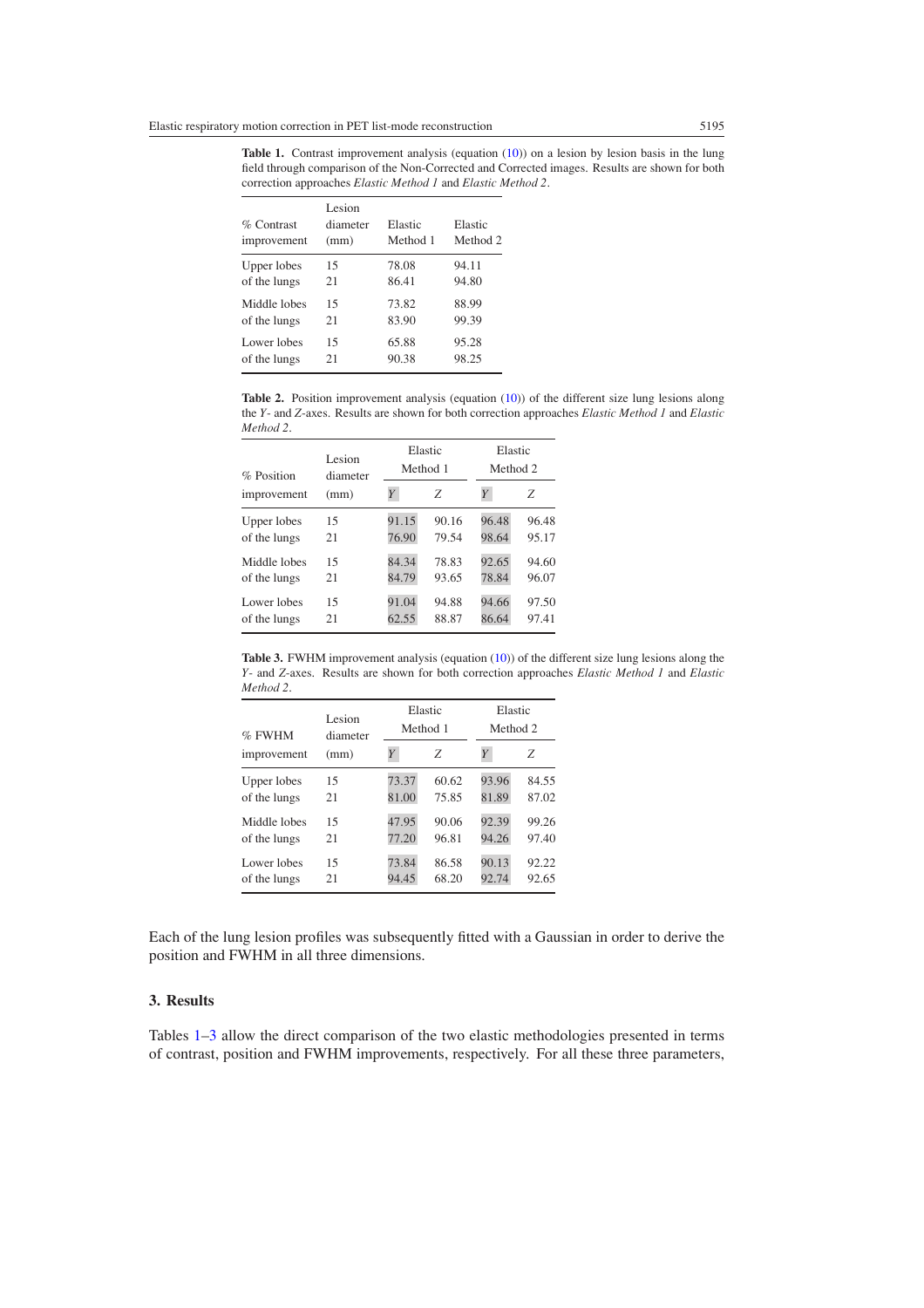**Table 1.** Contrast improvement analysis (equation [\(10\)](#page-7-0)) on a lesion by lesion basis in the lung field through comparison of the Non-Corrected and Corrected images. Results are shown for both correction approaches *Elastic Method 1* and *Elastic Method 2*.

| $\%$ Contrast<br>improvement | Lesion<br>diameter<br>(mm) | Elastic<br>Method 1 | Elastic<br>Method 2 |
|------------------------------|----------------------------|---------------------|---------------------|
| Upper lobes                  | 15                         | 78.08               | 94.11               |
| of the lungs                 | 21                         | 86.41               | 94.80               |
| Middle lobes                 | 15                         | 73.82               | 88.99               |
| of the lungs                 | 21                         | 83.90               | 99.39               |
| Lower lobes                  | 15                         | 65.88               | 95.28               |
| of the lungs                 | 21                         | 90.38               | 98.25               |

**Table 2.** Position improvement analysis (equation [\(10\)](#page-7-0)) of the different size lung lesions along the *Y*- and *Z*-axes. Results are shown for both correction approaches *Elastic Method 1* and *Elastic Method 2*.

| % Position          | Lesion<br>diameter |       | Elastic<br>Method 1 | Elastic<br>Method 2 |       |  |
|---------------------|--------------------|-------|---------------------|---------------------|-------|--|
| (mm)<br>improvement |                    | Y     | Z                   | Y                   | Z     |  |
| Upper lobes         | 15                 | 91.15 | 90.16               | 96.48               | 96.48 |  |
| of the lungs        | 21                 | 76.90 | 79.54               | 98.64               | 95.17 |  |
| Middle lobes        | 15                 | 84.34 | 78.83               | 92.65               | 94.60 |  |
| of the lungs        | 21                 | 84.79 | 93.65               | 78.84               | 96.07 |  |
| Lower lobes         | 15                 | 91.04 | 94.88               | 94.66               | 97.50 |  |
| of the lungs        | 21                 | 62.55 | 88.87               | 86.64               | 97.41 |  |

Table 3. FWHM improvement analysis (equation [\(10\)](#page-7-0)) of the different size lung lesions along the *Y*- and *Z*-axes. Results are shown for both correction approaches *Elastic Method 1* and *Elastic Method 2*.

| $%$ FWHM     | Lesion<br>diameter |       | Elastic<br>Method 1 |       | Elastic<br>Method 2 |  |  |
|--------------|--------------------|-------|---------------------|-------|---------------------|--|--|
| improvement  | (mm)               | Y     | Ζ                   | Y     | Z                   |  |  |
| Upper lobes  | 15                 | 73.37 | 60.62               | 93.96 | 84.55               |  |  |
| of the lungs | 21                 | 81.00 | 75.85               | 81.89 | 87.02               |  |  |
| Middle lobes | 15                 | 47.95 | 90.06               | 92.39 | 99.26               |  |  |
| of the lungs | 21                 | 77.20 | 96.81               | 94.26 | 97.40               |  |  |
| Lower lobes  | 15                 | 73.84 | 86.58               | 90.13 | 92.22               |  |  |
| of the lungs | 21                 | 94.45 | 68.20               | 92.74 | 92.65               |  |  |

Each of the lung lesion profiles was subsequently fitted with a Gaussian in order to derive the position and FWHM in all three dimensions.

## **3. Results**

Tables 1–3 allow the direct comparison of the two elastic methodologies presented in terms of contrast, position and FWHM improvements, respectively. For all these three parameters,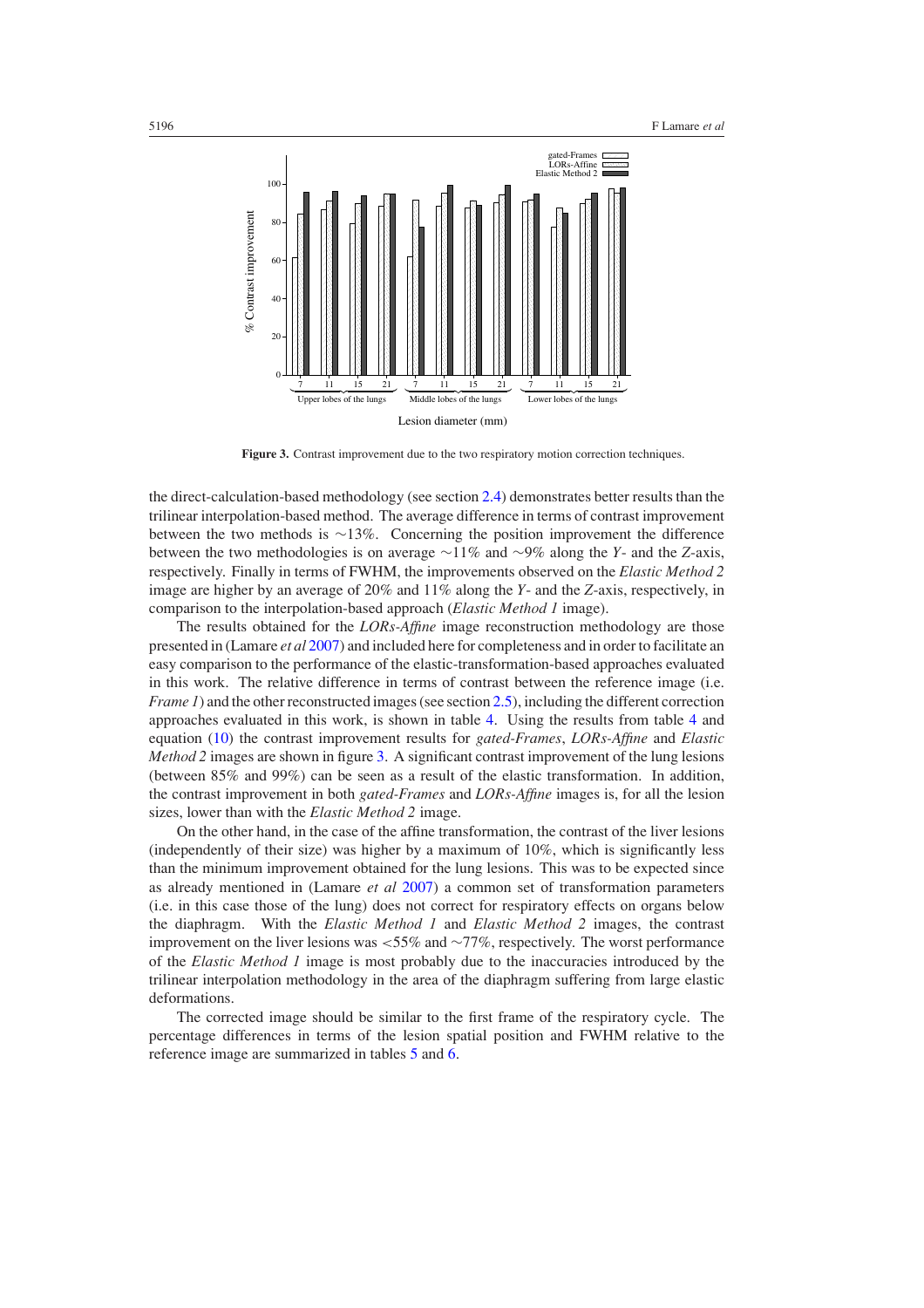<span id="page-9-0"></span>

**Figure 3.** Contrast improvement due to the two respiratory motion correction techniques.

the direct-calculation-based methodology (see section [2.4\)](#page-4-0) demonstrates better results than the trilinear interpolation-based method. The average difference in terms of contrast improvement between the two methods is ∼13%. Concerning the position improvement the difference between the two methodologies is on average ∼11% and ∼9% along the *Y*- and the *Z*-axis, respectively. Finally in terms of FWHM, the improvements observed on the *Elastic Method 2* image are higher by an average of 20% and 11% along the *Y*- and the *Z*-axis, respectively, in comparison to the interpolation-based approach (*Elastic Method 1* image).

The results obtained for the *LORs-Affine* image reconstruction methodology are those presented in (Lamare *et al* [2007\)](#page-16-0) and included here for completeness and in order to facilitate an easy comparison to the performance of the elastic-transformation-based approaches evaluated in this work. The relative difference in terms of contrast between the reference image (i.e. *Frame 1*) and the other reconstructed images (see section [2.5\)](#page-6-0), including the different correction approaches evaluated in this work, is shown in table [4.](#page-10-0) Using the results from table [4](#page-10-0) and equation [\(10\)](#page-7-0) the contrast improvement results for *gated-Frames*, *LORs-Affine* and *Elastic Method 2* images are shown in figure 3. A significant contrast improvement of the lung lesions (between 85% and 99%) can be seen as a result of the elastic transformation. In addition, the contrast improvement in both *gated-Frames* and *LORs-Affine* images is, for all the lesion sizes, lower than with the *Elastic Method 2* image.

On the other hand, in the case of the affine transformation, the contrast of the liver lesions (independently of their size) was higher by a maximum of  $10\%$ , which is significantly less than the minimum improvement obtained for the lung lesions. This was to be expected since as already mentioned in (Lamare *et al* [2007](#page-16-0)) a common set of transformation parameters (i.e. in this case those of the lung) does not correct for respiratory effects on organs below the diaphragm. With the *Elastic Method 1* and *Elastic Method 2* images, the contrast improvement on the liver lesions was *<*55% and ∼77%, respectively. The worst performance of the *Elastic Method 1* image is most probably due to the inaccuracies introduced by the trilinear interpolation methodology in the area of the diaphragm suffering from large elastic deformations.

The corrected image should be similar to the first frame of the respiratory cycle. The percentage differences in terms of the lesion spatial position and FWHM relative to the reference image are summarized in tables [5](#page-10-0) and [6.](#page-11-0)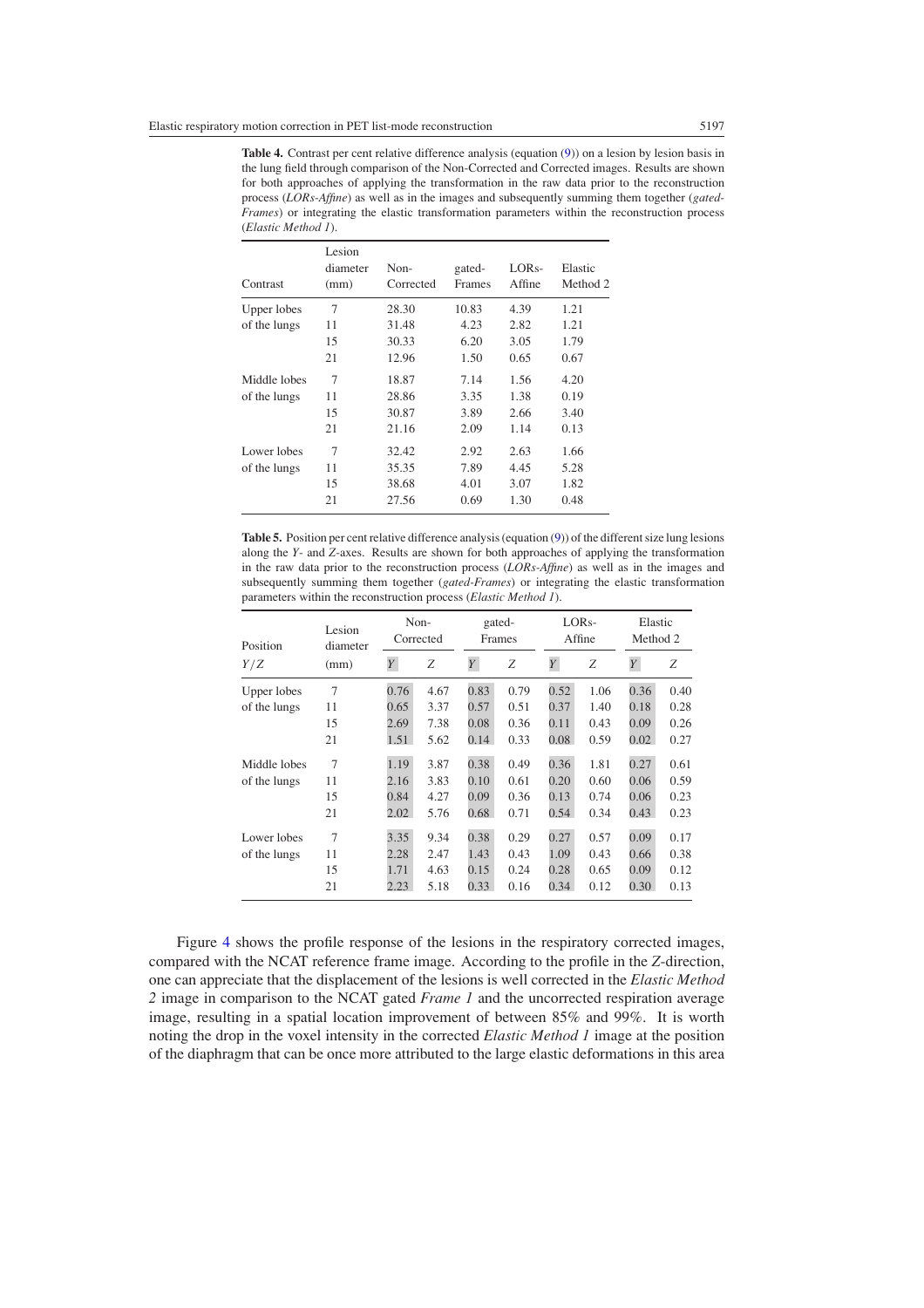<span id="page-10-0"></span>**Table 4.** Contrast per cent relative difference analysis (equation [\(9\)](#page-7-0)) on a lesion by lesion basis in the lung field through comparison of the Non-Corrected and Corrected images. Results are shown for both approaches of applying the transformation in the raw data prior to the reconstruction process (*LORs-Affine*) as well as in the images and subsequently summing them together (*gated-Frames*) or integrating the elastic transformation parameters within the reconstruction process (*Elastic Method 1*).

| Contrast     | Lesion<br>diameter<br>(mm) | Non-<br>Corrected | gated-<br>Frames | LOR <sub>s</sub> -<br>Affine | Elastic<br>Method 2 |
|--------------|----------------------------|-------------------|------------------|------------------------------|---------------------|
| Upper lobes  | 7                          | 28.30             | 10.83            | 4.39                         | 1.21                |
| of the lungs | 11                         | 31.48             | 4.23             | 2.82                         | 1.21                |
|              | 15                         | 30.33             | 6.20             | 3.05                         | 1.79                |
|              | 21                         | 12.96             | 1.50             | 0.65                         | 0.67                |
| Middle lobes | 7                          | 18.87             | 7.14             | 1.56                         | 4.20                |
| of the lungs | 11                         | 28.86             | 3.35             | 1.38                         | 0.19                |
|              | 15                         | 30.87             | 3.89             | 2.66                         | 3.40                |
|              | 21                         | 21.16             | 2.09             | 1.14                         | 0.13                |
| Lower lobes  | 7                          | 32.42             | 2.92             | 2.63                         | 1.66                |
| of the lungs | 11                         | 35.35             | 7.89             | 4.45                         | 5.28                |
|              | 15                         | 38.68             | 4.01             | 3.07                         | 1.82                |
|              | 21                         | 27.56             | 0.69             | 1.30                         | 0.48                |

**Table 5.** Position per cent relative difference analysis (equation [\(9\)](#page-7-0)) of the different size lung lesions along the *Y*- and *Z*-axes. Results are shown for both approaches of applying the transformation in the raw data prior to the reconstruction process (*LORs-Affine*) as well as in the images and subsequently summing them together (*gated-Frames*) or integrating the elastic transformation parameters within the reconstruction process (*Elastic Method 1*).

| Position     | Lesion<br>diameter<br>(mm) | Non-<br>Corrected |      | gated-<br>Frames |      | LOR <sub>s</sub> -<br>Affine |      | Elastic<br>Method 2 |      |
|--------------|----------------------------|-------------------|------|------------------|------|------------------------------|------|---------------------|------|
| Y/Z          |                            | Y                 | Ζ    | $\boldsymbol{Y}$ | Ζ    | $\boldsymbol{Y}$             | Ζ    | $\boldsymbol{Y}$    | Ζ    |
| Upper lobes  | 7                          | 0.76              | 4.67 | 0.83             | 0.79 | 0.52                         | 1.06 | 0.36                | 0.40 |
| of the lungs | 11                         | 0.65              | 3.37 | 0.57             | 0.51 | 0.37                         | 1.40 | 0.18                | 0.28 |
|              | 15                         | 2.69              | 7.38 | 0.08             | 0.36 | 0.11                         | 0.43 | 0.09                | 0.26 |
|              | 21                         | 1.51              | 5.62 | 0.14             | 0.33 | 0.08                         | 0.59 | $0.02^{\circ}$      | 0.27 |
| Middle lobes | 7                          | 1.19              | 3.87 | 0.38             | 0.49 | 0.36                         | 1.81 | 0.27                | 0.61 |
| of the lungs | 11                         | 2.16              | 3.83 | 0.10             | 0.61 | 0.20                         | 0.60 | 0.06                | 0.59 |
|              | 15                         | 0.84              | 4.27 | 0.09             | 0.36 | 0.13                         | 0.74 | 0.06                | 0.23 |
|              | 21                         | 2.02              | 5.76 | 0.68             | 0.71 | 0.54                         | 0.34 | 0.43                | 0.23 |
| Lower lobes  | 7                          | 3.35              | 9.34 | 0.38             | 0.29 | 0.27                         | 0.57 | 0.09                | 0.17 |
| of the lungs | 11                         | 2.28              | 2.47 | 1.43             | 0.43 | 1.09                         | 0.43 | 0.66                | 0.38 |
|              | 15                         | 1.71              | 4.63 | 0.15             | 0.24 | 0.28                         | 0.65 | 0.09                | 0.12 |
|              | 21                         | 2.23              | 5.18 | 0.33             | 0.16 | 0.34                         | 0.12 | 0.30                | 0.13 |

Figure [4](#page-11-0) shows the profile response of the lesions in the respiratory corrected images, compared with the NCAT reference frame image. According to the profile in the *Z*-direction, one can appreciate that the displacement of the lesions is well corrected in the *Elastic Method 2* image in comparison to the NCAT gated *Frame 1* and the uncorrected respiration average image, resulting in a spatial location improvement of between 85% and 99%. It is worth noting the drop in the voxel intensity in the corrected *Elastic Method 1* image at the position of the diaphragm that can be once more attributed to the large elastic deformations in this area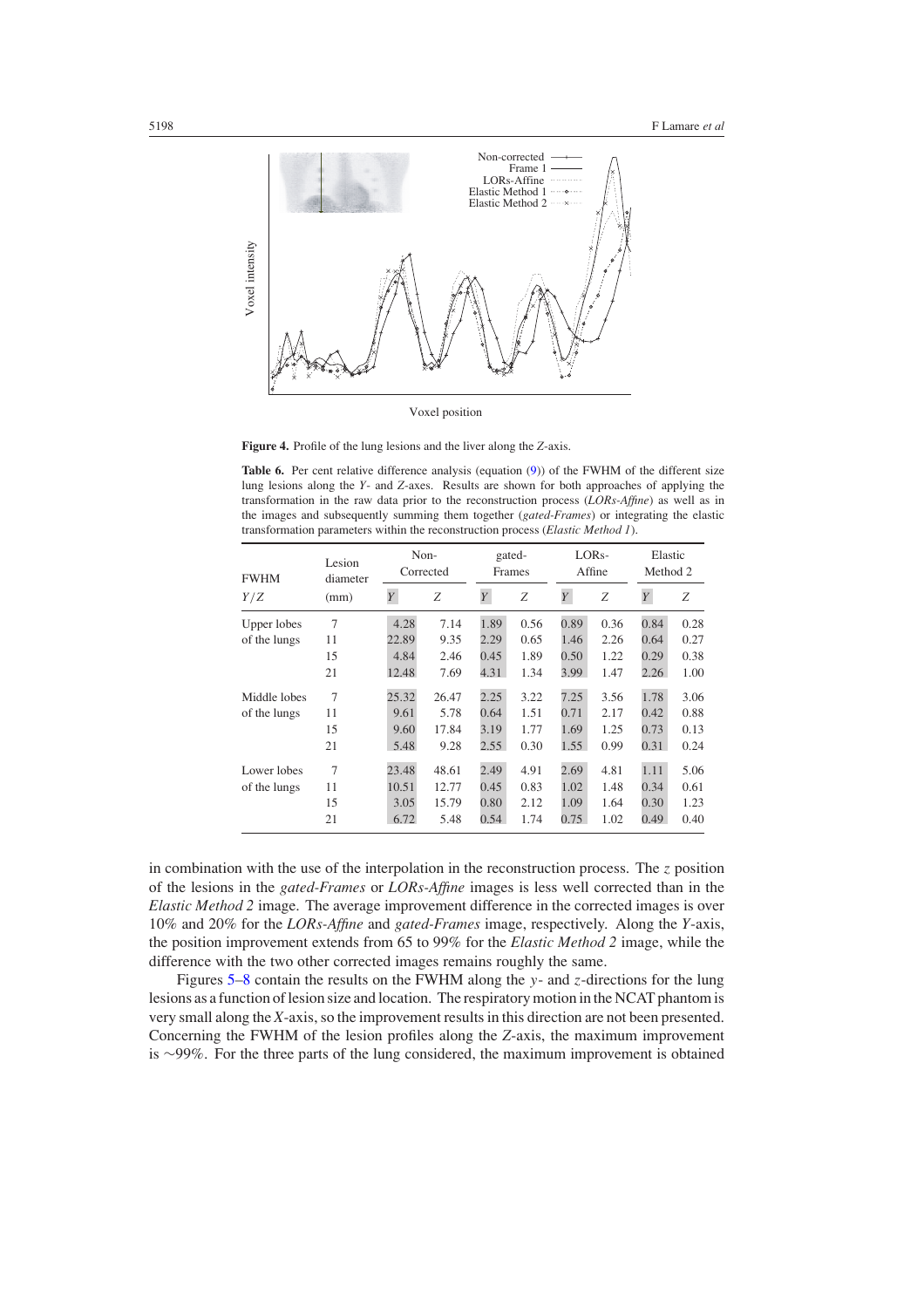<span id="page-11-0"></span>

Voxel position

**Figure 4.** Profile of the lung lesions and the liver along the *Z*-axis.

**Table 6.** Per cent relative difference analysis (equation [\(9\)](#page-7-0)) of the FWHM of the different size lung lesions along the *Y*- and *Z*-axes. Results are shown for both approaches of applying the transformation in the raw data prior to the reconstruction process (*LORs-Affine*) as well as in the images and subsequently summing them together (*gated-Frames*) or integrating the elastic transformation parameters within the reconstruction process (*Elastic Method 1*).

| <b>FWHM</b>  | Lesion<br>diameter<br>(mm) | Non-<br>Corrected |       | gated-<br>Frames |      | LOR <sub>s</sub> -<br>Affine |      | Elastic<br>Method 2 |      |
|--------------|----------------------------|-------------------|-------|------------------|------|------------------------------|------|---------------------|------|
| Y/Z          |                            | Y                 | Ζ     | $\overline{Y}$   | Ζ    | $\boldsymbol{Y}$             | Ζ    | Y                   | Ζ    |
| Upper lobes  | 7                          | 4.28              | 7.14  | 1.89             | 0.56 | 0.89                         | 0.36 | 0.84                | 0.28 |
| of the lungs | 11                         | 22.89             | 9.35  | 2.29             | 0.65 | 1.46                         | 2.26 | 0.64                | 0.27 |
|              | 15                         | 4.84              | 2.46  | 0.45             | 1.89 | 0.50                         | 1.22 | 0.29                | 0.38 |
|              | 21                         | 12.48             | 7.69  | 4.31             | 1.34 | 3.99                         | 1.47 | 2.26                | 1.00 |
| Middle lobes | 7                          | 25.32             | 26.47 | 2.25             | 3.22 | 7.25                         | 3.56 | 1.78                | 3.06 |
| of the lungs | 11                         | 9.61              | 5.78  | 0.64             | 1.51 | 0.71                         | 2.17 | 0.42                | 0.88 |
|              | 15                         | 9.60              | 17.84 | 3.19             | 1.77 | 1.69                         | 1.25 | 0.73                | 0.13 |
|              | 21                         | 5.48              | 9.28  | 2.55             | 0.30 | 1.55                         | 0.99 | 0.31                | 0.24 |
| Lower lobes  | 7                          | 23.48             | 48.61 | 2.49             | 4.91 | 2.69                         | 4.81 | 1.11                | 5.06 |
| of the lungs | 11                         | 10.51             | 12.77 | 0.45             | 0.83 | 1.02                         | 1.48 | 0.34                | 0.61 |
|              | 15                         | 3.05              | 15.79 | 0.80             | 2.12 | 1.09                         | 1.64 | 0.30                | 1.23 |
|              | 21                         | 6.72              | 5.48  | 0.54             | 1.74 | 0.75                         | 1.02 | 0.49                | 0.40 |

in combination with the use of the interpolation in the reconstruction process. The *z* position of the lesions in the *gated-Frames* or *LORs-Affine* images is less well corrected than in the *Elastic Method 2* image. The average improvement difference in the corrected images is over 10% and 20% for the *LORs-Affine* and *gated-Frames* image, respectively. Along the *Y*-axis, the position improvement extends from 65 to 99% for the *Elastic Method 2* image, while the difference with the two other corrected images remains roughly the same.

Figures [5](#page-12-0)[–8](#page-13-0) contain the results on the FWHM along the *y*- and *z*-directions for the lung lesions as a function of lesion size and location. The respiratory motion in the NCAT phantom is very small along the *X*-axis, so the improvement results in this direction are not been presented. Concerning the FWHM of the lesion profiles along the *Z*-axis, the maximum improvement is ∼99%. For the three parts of the lung considered, the maximum improvement is obtained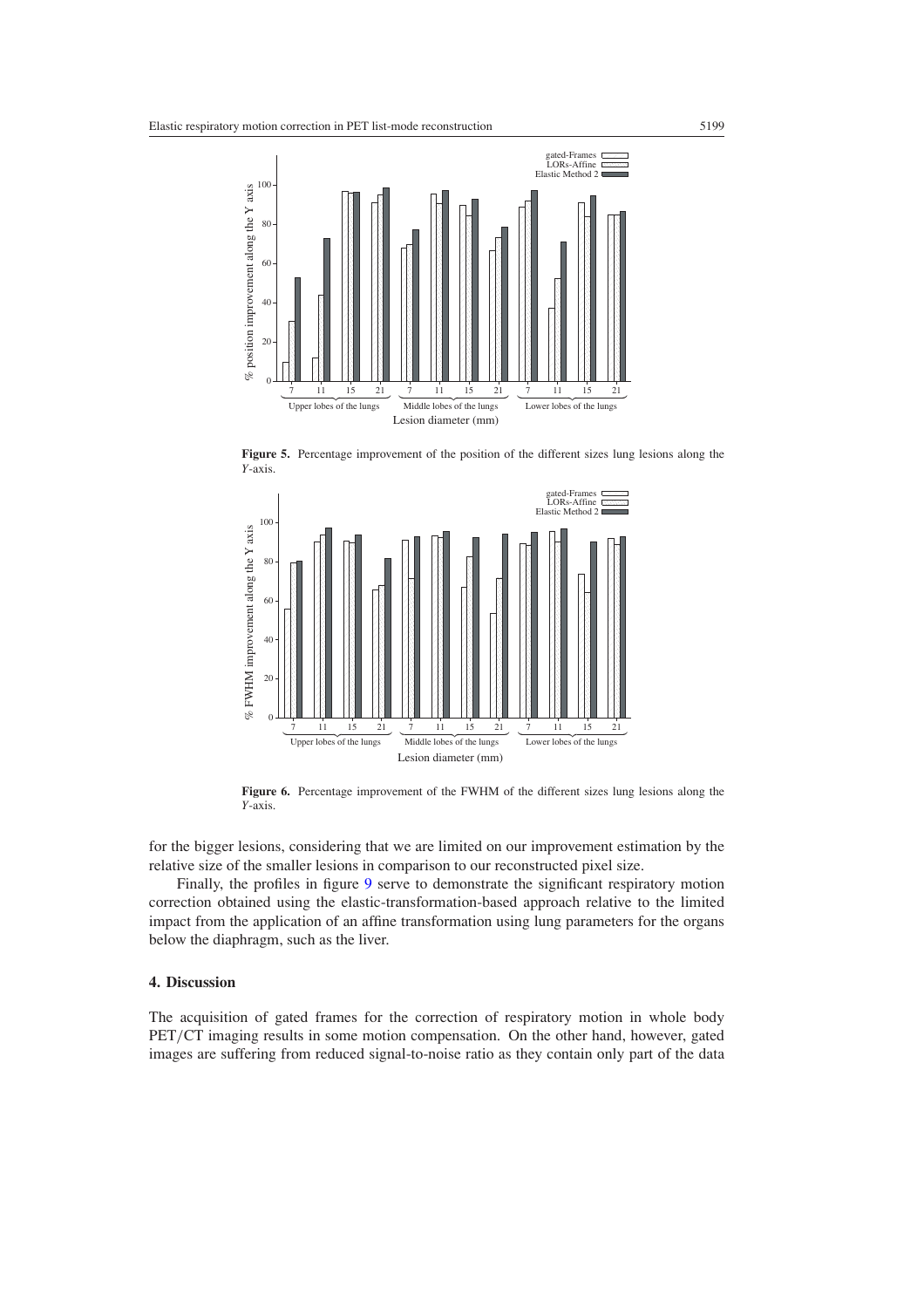<span id="page-12-0"></span>

**Figure 5.** Percentage improvement of the position of the different sizes lung lesions along the *Y*-axis.



Figure 6. Percentage improvement of the FWHM of the different sizes lung lesions along the *Y*-axis.

for the bigger lesions, considering that we are limited on our improvement estimation by the relative size of the smaller lesions in comparison to our reconstructed pixel size.

Finally, the profiles in figure [9](#page-14-0) serve to demonstrate the significant respiratory motion correction obtained using the elastic-transformation-based approach relative to the limited impact from the application of an affine transformation using lung parameters for the organs below the diaphragm, such as the liver.

# **4. Discussion**

The acquisition of gated frames for the correction of respiratory motion in whole body PET*/*CT imaging results in some motion compensation. On the other hand, however, gated images are suffering from reduced signal-to-noise ratio as they contain only part of the data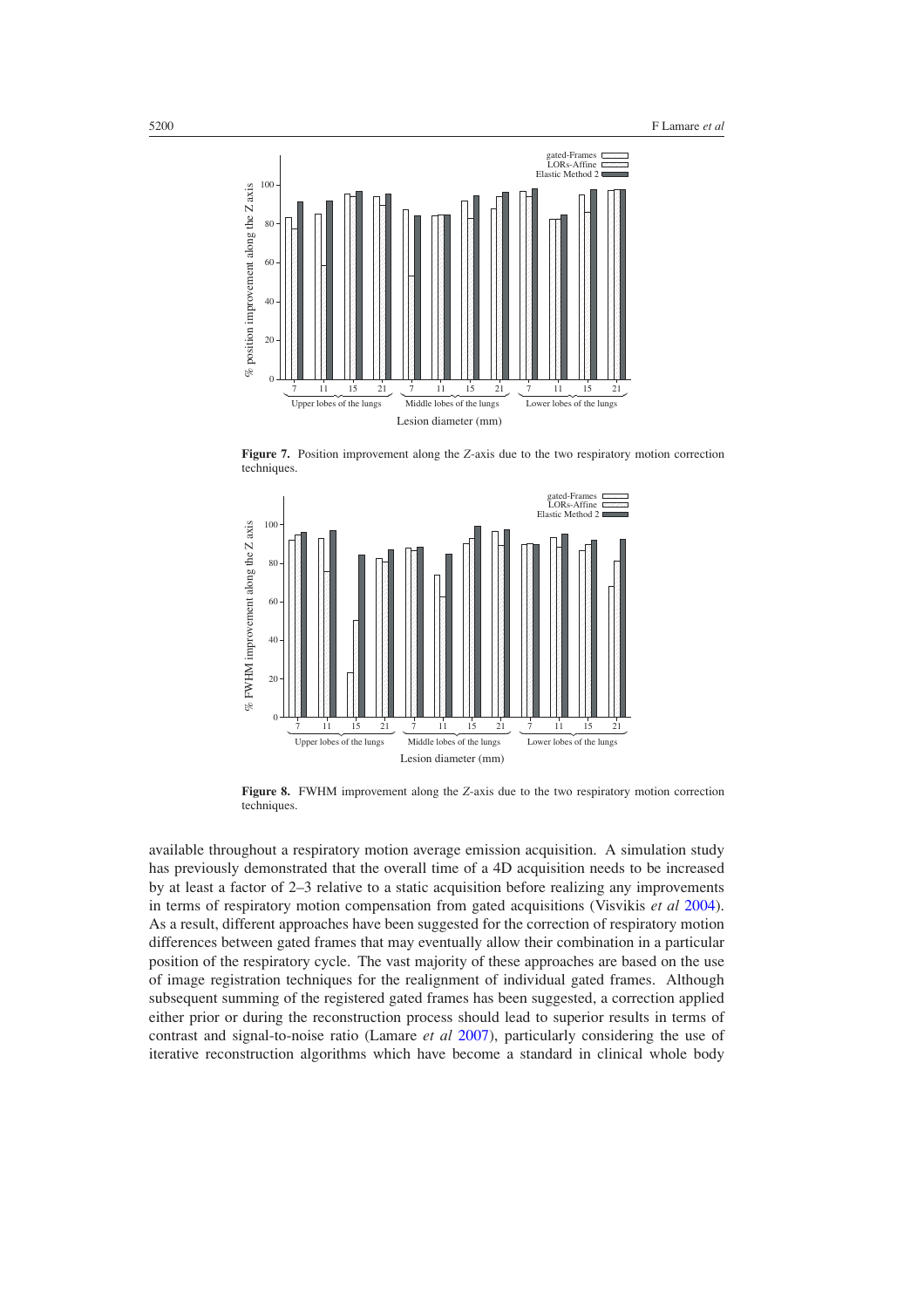<span id="page-13-0"></span>

**Figure 7.** Position improvement along the *Z*-axis due to the two respiratory motion correction techniques.



**Figure 8.** FWHM improvement along the *Z*-axis due to the two respiratory motion correction techniques.

available throughout a respiratory motion average emission acquisition. A simulation study has previously demonstrated that the overall time of a 4D acquisition needs to be increased by at least a factor of 2–3 relative to a static acquisition before realizing any improvements in terms of respiratory motion compensation from gated acquisitions (Visvikis *et al* [2004\)](#page-17-0). As a result, different approaches have been suggested for the correction of respiratory motion differences between gated frames that may eventually allow their combination in a particular position of the respiratory cycle. The vast majority of these approaches are based on the use of image registration techniques for the realignment of individual gated frames. Although subsequent summing of the registered gated frames has been suggested, a correction applied either prior or during the reconstruction process should lead to superior results in terms of contrast and signal-to-noise ratio (Lamare *et al* [2007\)](#page-16-0), particularly considering the use of iterative reconstruction algorithms which have become a standard in clinical whole body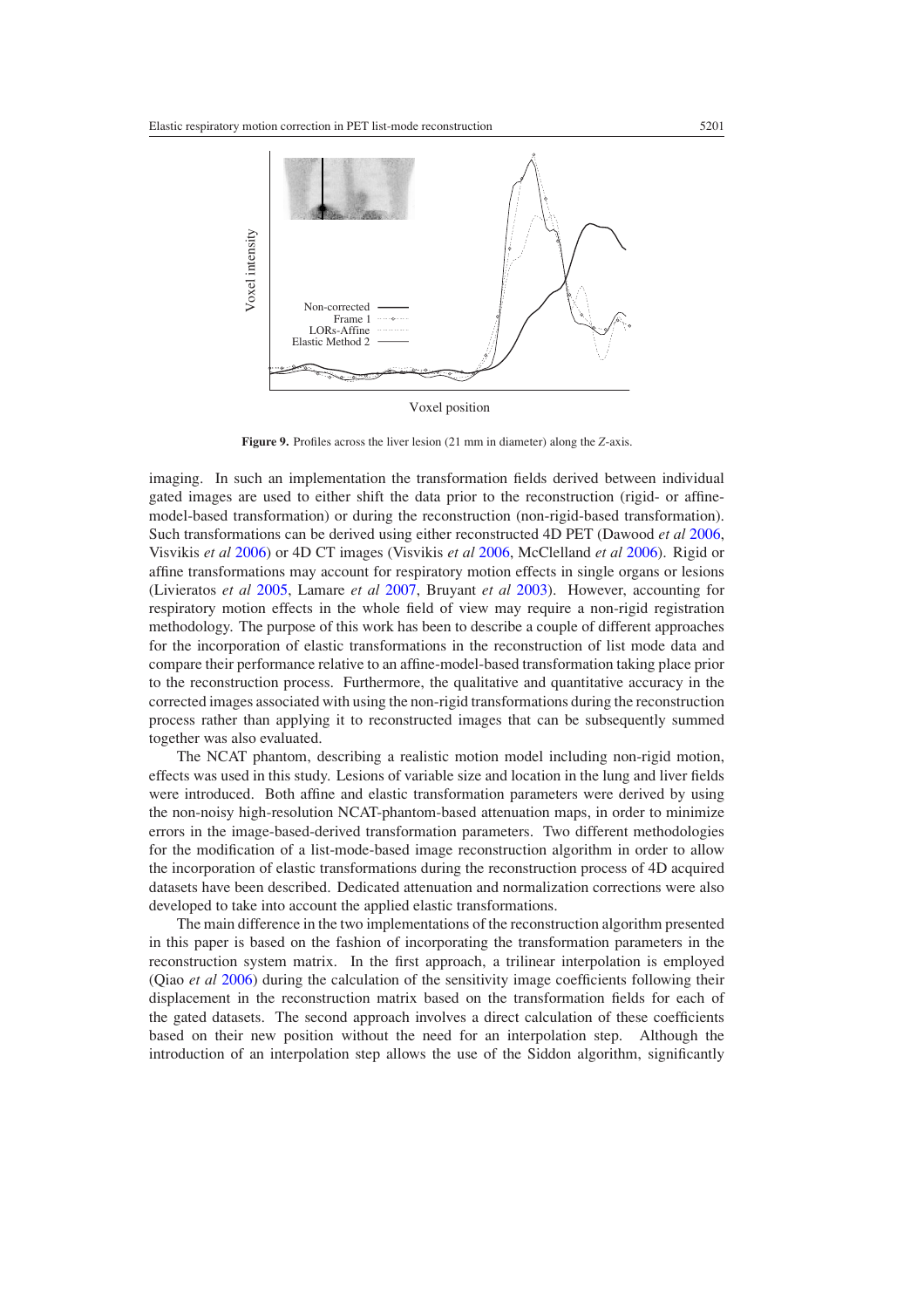<span id="page-14-0"></span>

Voxel position

**Figure 9.** Profiles across the liver lesion (21 mm in diameter) along the *Z*-axis.

imaging. In such an implementation the transformation fields derived between individual gated images are used to either shift the data prior to the reconstruction (rigid- or affinemodel-based transformation) or during the reconstruction (non-rigid-based transformation). Such transformations can be derived using either reconstructed 4D PET (Dawood *et al* [2006](#page-16-0), Visvikis *et al* [2006](#page-17-0)) or 4D CT images (Visvikis *et al* [2006](#page-17-0), McClelland *et al* [2006](#page-16-0)). Rigid or affine transformations may account for respiratory motion effects in single organs or lesions (Livieratos *et al* [2005](#page-16-0), Lamare *et al* [2007](#page-16-0), Bruyant *et al* [2003\)](#page-16-0). However, accounting for respiratory motion effects in the whole field of view may require a non-rigid registration methodology. The purpose of this work has been to describe a couple of different approaches for the incorporation of elastic transformations in the reconstruction of list mode data and compare their performance relative to an affine-model-based transformation taking place prior to the reconstruction process. Furthermore, the qualitative and quantitative accuracy in the corrected images associated with using the non-rigid transformations during the reconstruction process rather than applying it to reconstructed images that can be subsequently summed together was also evaluated.

The NCAT phantom, describing a realistic motion model including non-rigid motion, effects was used in this study. Lesions of variable size and location in the lung and liver fields were introduced. Both affine and elastic transformation parameters were derived by using the non-noisy high-resolution NCAT-phantom-based attenuation maps, in order to minimize errors in the image-based-derived transformation parameters. Two different methodologies for the modification of a list-mode-based image reconstruction algorithm in order to allow the incorporation of elastic transformations during the reconstruction process of 4D acquired datasets have been described. Dedicated attenuation and normalization corrections were also developed to take into account the applied elastic transformations.

The main difference in the two implementations of the reconstruction algorithm presented in this paper is based on the fashion of incorporating the transformation parameters in the reconstruction system matrix. In the first approach, a trilinear interpolation is employed (Qiao *et al* [2006\)](#page-17-0) during the calculation of the sensitivity image coefficients following their displacement in the reconstruction matrix based on the transformation fields for each of the gated datasets. The second approach involves a direct calculation of these coefficients based on their new position without the need for an interpolation step. Although the introduction of an interpolation step allows the use of the Siddon algorithm, significantly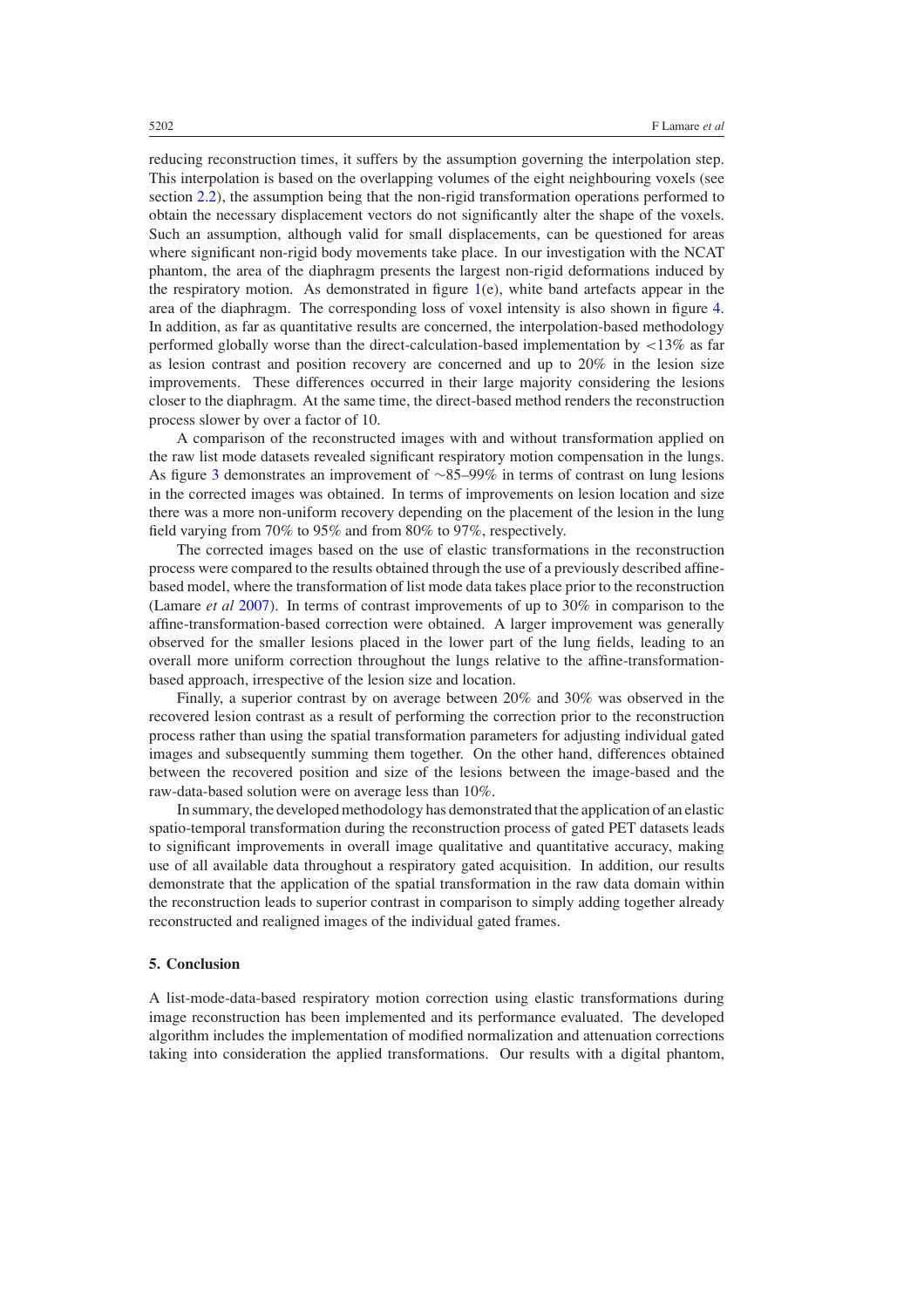reducing reconstruction times, it suffers by the assumption governing the interpolation step. This interpolation is based on the overlapping volumes of the eight neighbouring voxels (see section [2.2\)](#page-3-0), the assumption being that the non-rigid transformation operations performed to obtain the necessary displacement vectors do not significantly alter the shape of the voxels. Such an assumption, although valid for small displacements, can be questioned for areas where significant non-rigid body movements take place. In our investigation with the NCAT phantom, the area of the diaphragm presents the largest non-rigid deformations induced by the respiratory motion. As demonstrated in figure  $1(e)$  $1(e)$ , white band artefacts appear in the area of the diaphragm. The corresponding loss of voxel intensity is also shown in figure [4.](#page-11-0) In addition, as far as quantitative results are concerned, the interpolation-based methodology performed globally worse than the direct-calculation-based implementation by *<*13% as far as lesion contrast and position recovery are concerned and up to 20% in the lesion size improvements. These differences occurred in their large majority considering the lesions closer to the diaphragm. At the same time, the direct-based method renders the reconstruction process slower by over a factor of 10.

A comparison of the reconstructed images with and without transformation applied on the raw list mode datasets revealed significant respiratory motion compensation in the lungs. As figure [3](#page-9-0) demonstrates an improvement of ∼85–99% in terms of contrast on lung lesions in the corrected images was obtained. In terms of improvements on lesion location and size there was a more non-uniform recovery depending on the placement of the lesion in the lung field varying from 70% to 95% and from 80% to 97%, respectively.

The corrected images based on the use of elastic transformations in the reconstruction process were compared to the results obtained through the use of a previously described affinebased model, where the transformation of list mode data takes place prior to the reconstruction (Lamare *et al* [2007\)](#page-16-0). In terms of contrast improvements of up to 30% in comparison to the affine-transformation-based correction were obtained. A larger improvement was generally observed for the smaller lesions placed in the lower part of the lung fields, leading to an overall more uniform correction throughout the lungs relative to the affine-transformationbased approach, irrespective of the lesion size and location.

Finally, a superior contrast by on average between 20% and 30% was observed in the recovered lesion contrast as a result of performing the correction prior to the reconstruction process rather than using the spatial transformation parameters for adjusting individual gated images and subsequently summing them together. On the other hand, differences obtained between the recovered position and size of the lesions between the image-based and the raw-data-based solution were on average less than 10%.

In summary, the developed methodology has demonstrated that the application of an elastic spatio-temporal transformation during the reconstruction process of gated PET datasets leads to significant improvements in overall image qualitative and quantitative accuracy, making use of all available data throughout a respiratory gated acquisition. In addition, our results demonstrate that the application of the spatial transformation in the raw data domain within the reconstruction leads to superior contrast in comparison to simply adding together already reconstructed and realigned images of the individual gated frames.

## **5. Conclusion**

A list-mode-data-based respiratory motion correction using elastic transformations during image reconstruction has been implemented and its performance evaluated. The developed algorithm includes the implementation of modified normalization and attenuation corrections taking into consideration the applied transformations. Our results with a digital phantom,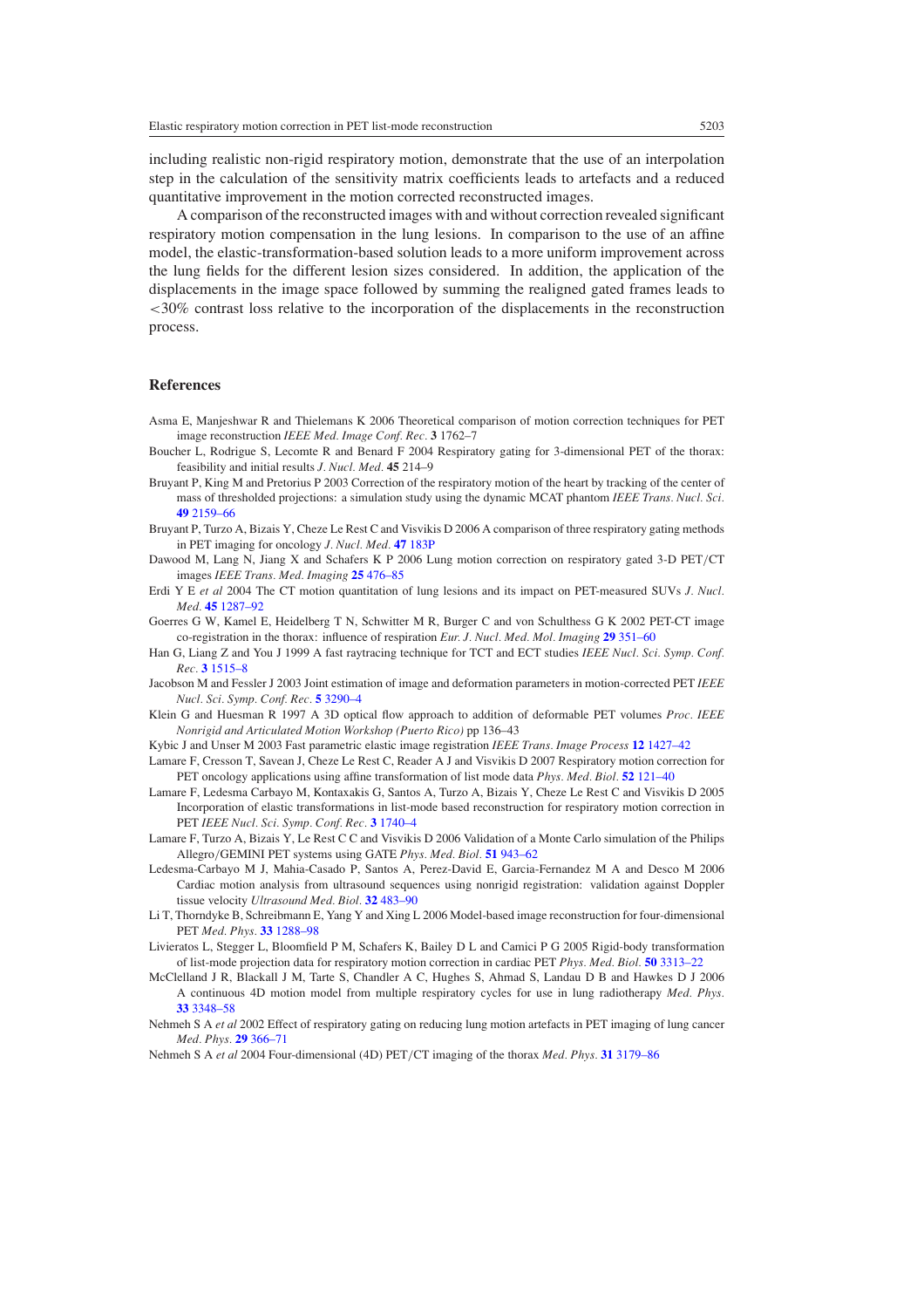<span id="page-16-0"></span>including realistic non-rigid respiratory motion, demonstrate that the use of an interpolation step in the calculation of the sensitivity matrix coefficients leads to artefacts and a reduced quantitative improvement in the motion corrected reconstructed images.

A comparison of the reconstructed images with and without correction revealed significant respiratory motion compensation in the lung lesions. In comparison to the use of an affine model, the elastic-transformation-based solution leads to a more uniform improvement across the lung fields for the different lesion sizes considered. In addition, the application of the displacements in the image space followed by summing the realigned gated frames leads to *<*30% contrast loss relative to the incorporation of the displacements in the reconstruction process.

# **References**

- Asma E, Manjeshwar R and Thielemans K 2006 Theoretical comparison of motion correction techniques for PET image reconstruction *IEEE Med. Image Conf. Rec.* **3** 1762–7
- Boucher L, Rodrigue S, Lecomte R and Benard F 2004 Respiratory gating for 3-dimensional PET of the thorax: feasibility and initial results *J. Nucl. Med.* **45** 214–9
- Bruyant P, King M and Pretorius P 2003 Correction of the respiratory motion of the heart by tracking of the center of mass of thresholded projections: a simulation study using the dynamic MCAT phantom *IEEE Trans. Nucl. Sci.* **49** [2159–66](http://dx.doi.org/10.1109/TNS.2002.803678)
- Bruyant P, Turzo A, Bizais Y, Cheze Le Rest C and Visvikis D 2006 A comparison of three respiratory gating methods in PET imaging for oncology *J. Nucl. Med.* **47** [183P](http://dx.doi.org/10.1109/TNS.2002.803678)
- Dawood M, Lang N, Jiang X and Schafers K P 2006 Lung motion correction on respiratory gated 3-D PET*/*CT images *IEEE Trans. Med. Imaging* **25** [476–85](http://dx.doi.org/10.1109/TMI.2006.870892)
- Erdi Y E *et al* 2004 The CT motion quantitation of lung lesions and its impact on PET-measured SUVs *J. Nucl. Med.* **45** [1287–92](http://dx.doi.org/10.1109/TMI.2006.870892)
- Goerres G W, Kamel E, Heidelberg T N, Schwitter M R, Burger C and von Schulthess G K 2002 PET-CT image co-registration in the thorax: influence of respiration *Eur. J. Nucl. Med. Mol. Imaging* **29** [351–60](http://dx.doi.org/10.1007/s00259-001-0710-4)
- Han G, Liang Z and You J 1999 A fast raytracing technique for TCT and ECT studies *IEEE Nucl. Sci. Symp. Conf. Rec.* **3** [1515–8](http://dx.doi.org/10.1007/s00259-001-0710-4)
- Jacobson M and Fessler J 2003 Joint estimation of image and deformation parameters in motion-corrected PET *IEEE Nucl. Sci. Symp. Conf. Rec.* **5** [3290–4](http://dx.doi.org/10.1007/s00259-001-0710-4)
- Klein G and Huesman R 1997 A 3D optical flow approach to addition of deformable PET volumes *Proc. IEEE Nonrigid and Articulated Motion Workshop (Puerto Rico)* pp 136–43
- Kybic J and Unser M 2003 Fast parametric elastic image registration *IEEE Trans. Image Process* **12** [1427–42](http://dx.doi.org/10.1109/TIP.2003.813139)
- Lamare F, Cresson T, Savean J, Cheze Le Rest C, Reader A J and Visvikis D 2007 Respiratory motion correction for PET oncology applications using affine transformation of list mode data *Phys. Med. Biol.* **52** [121–40](http://dx.doi.org/10.1088/0031-9155/52/1/009)
- Lamare F, Ledesma Carbayo M, Kontaxakis G, Santos A, Turzo A, Bizais Y, Cheze Le Rest C and Visvikis D 2005 Incorporation of elastic transformations in list-mode based reconstruction for respiratory motion correction in PET *IEEE Nucl. Sci. Symp. Conf. Rec.* **3** [1740–4](http://dx.doi.org/10.1109/NSSMIC.2005.1596656)
- Lamare F, Turzo A, Bizais Y, Le Rest C C and Visvikis D 2006 Validation of a Monte Carlo simulation of the Philips Allegro*/*GEMINI PET systems using GATE *Phys. Med. Biol.* **51** [943–62](http://dx.doi.org/10.1088/0031-9155/51/4/013)
- Ledesma-Carbayo M J, Mahia-Casado P, Santos A, Perez-David E, Garcia-Fernandez M A and Desco M 2006 Cardiac motion analysis from ultrasound sequences using nonrigid registration: validation against Doppler tissue velocity *Ultrasound Med. Biol.* **32** [483–90](http://dx.doi.org/10.1016/j.ultrasmedbio.2005.12.006)
- Li T, Thorndyke B, Schreibmann E, Yang Y and Xing L 2006 Model-based image reconstruction for four-dimensional PET *Med. Phys.* **33** [1288–98](http://dx.doi.org/10.1118/1.2192581)
- Livieratos L, Stegger L, Bloomfield P M, Schafers K, Bailey D L and Camici P G 2005 Rigid-body transformation of list-mode projection data for respiratory motion correction in cardiac PET *Phys. Med. Biol.* **50** [3313–22](http://dx.doi.org/10.1088/0031-9155/50/14/008)
- McClelland J R, Blackall J M, Tarte S, Chandler A C, Hughes S, Ahmad S, Landau D B and Hawkes D J 2006 A continuous 4D motion model from multiple respiratory cycles for use in lung radiotherapy *Med. Phys.* **33** [3348–58](http://dx.doi.org/10.1118/1.2222079)
- Nehmeh S A *et al* 2002 Effect of respiratory gating on reducing lung motion artefacts in PET imaging of lung cancer *Med. Phys.* **29** [366–71](http://dx.doi.org/10.1118/1.1448824)

Nehmeh S A *et al* 2004 Four-dimensional (4D) PET*/*CT imaging of the thorax *Med. Phys.* **31** [3179–86](http://dx.doi.org/10.1118/1.1809778)